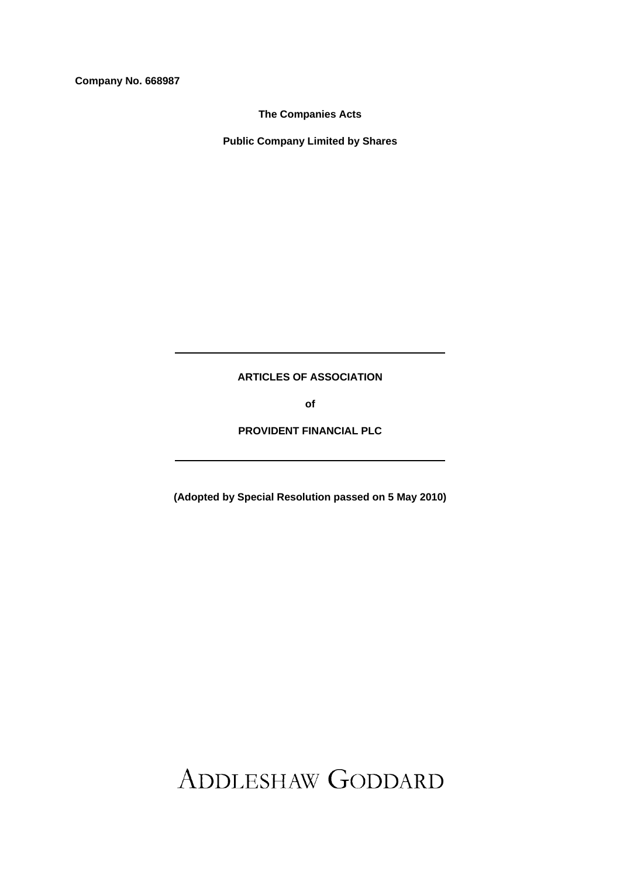**Company No. 668987** 

**The Companies Acts** 

**Public Company Limited by Shares** 

**ARTICLES OF ASSOCIATION** 

**of** 

**PROVIDENT FINANCIAL PLC** 

**(Adopted by Special Resolution passed on 5 May 2010)** 

ADDLESHAW GODDARD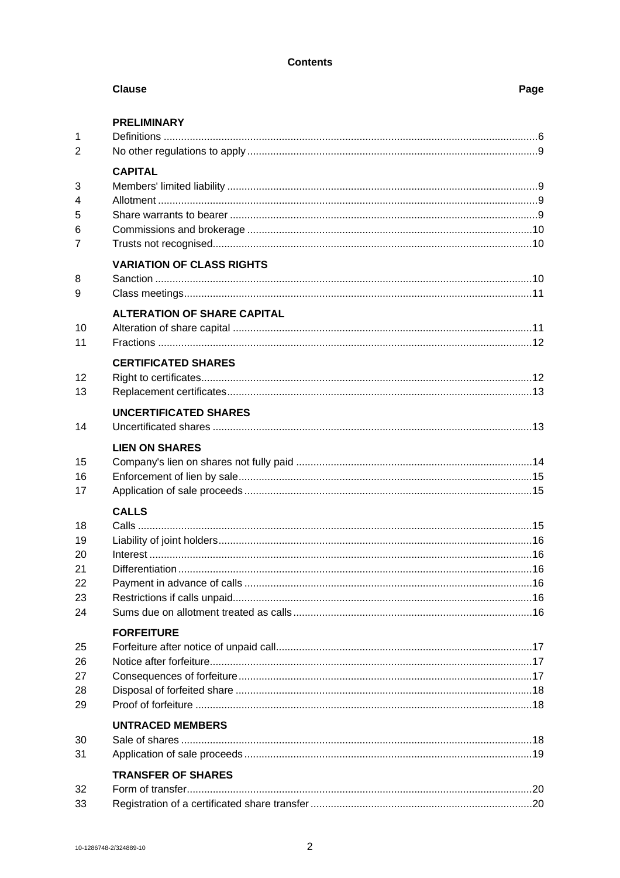# **Contents**

|                                        | <b>Clause</b>                      | Page |
|----------------------------------------|------------------------------------|------|
| $\mathbf{1}$<br>2                      | <b>PRELIMINARY</b>                 |      |
| 3<br>4<br>5<br>6<br>$\overline{7}$     | <b>CAPITAL</b>                     |      |
| 8<br>9                                 | <b>VARIATION OF CLASS RIGHTS</b>   |      |
| 10<br>11                               | <b>ALTERATION OF SHARE CAPITAL</b> |      |
| 12<br>13                               | <b>CERTIFICATED SHARES</b>         |      |
| 14                                     | <b>UNCERTIFICATED SHARES</b>       |      |
| 15<br>16<br>17                         | <b>LIEN ON SHARES</b>              |      |
| 18<br>19<br>20<br>21<br>22<br>23<br>24 | <b>CALLS</b>                       |      |
| 25<br>26<br>27<br>28<br>29             | <b>FORFEITURE</b>                  |      |
| 30<br>31                               | <b>UNTRACED MEMBERS</b>            |      |
| 32<br>33                               | <b>TRANSFER OF SHARES</b>          |      |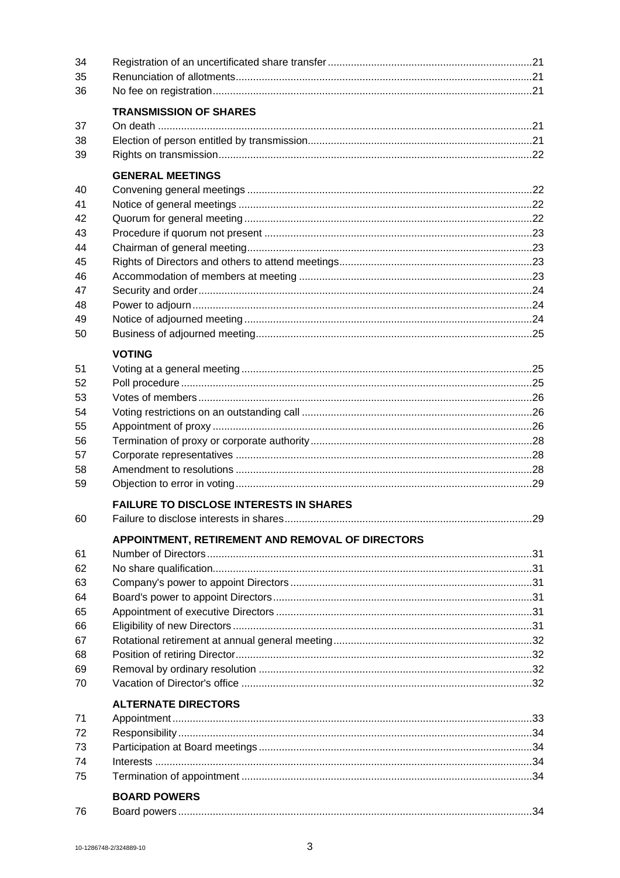| 34 |                                                  |  |
|----|--------------------------------------------------|--|
| 35 |                                                  |  |
| 36 |                                                  |  |
|    | <b>TRANSMISSION OF SHARES</b>                    |  |
| 37 |                                                  |  |
| 38 |                                                  |  |
| 39 |                                                  |  |
|    | <b>GENERAL MEETINGS</b>                          |  |
| 40 |                                                  |  |
| 41 |                                                  |  |
| 42 |                                                  |  |
| 43 |                                                  |  |
| 44 |                                                  |  |
| 45 |                                                  |  |
| 46 |                                                  |  |
| 47 |                                                  |  |
| 48 |                                                  |  |
| 49 |                                                  |  |
| 50 |                                                  |  |
|    |                                                  |  |
|    | <b>VOTING</b>                                    |  |
| 51 |                                                  |  |
| 52 |                                                  |  |
| 53 |                                                  |  |
| 54 |                                                  |  |
| 55 |                                                  |  |
| 56 |                                                  |  |
| 57 |                                                  |  |
| 58 |                                                  |  |
| 59 |                                                  |  |
|    | <b>FAILURE TO DISCLOSE INTERESTS IN SHARES</b>   |  |
| 60 |                                                  |  |
|    | APPOINTMENT, RETIREMENT AND REMOVAL OF DIRECTORS |  |
| 61 |                                                  |  |
| 62 |                                                  |  |
| 63 |                                                  |  |
| 64 |                                                  |  |
| 65 |                                                  |  |
| 66 |                                                  |  |
| 67 |                                                  |  |
| 68 |                                                  |  |
| 69 |                                                  |  |
| 70 |                                                  |  |
|    | <b>ALTERNATE DIRECTORS</b>                       |  |
| 71 |                                                  |  |
| 72 |                                                  |  |
| 73 |                                                  |  |
| 74 |                                                  |  |
| 75 |                                                  |  |
|    | <b>BOARD POWERS</b>                              |  |
| 76 |                                                  |  |
|    |                                                  |  |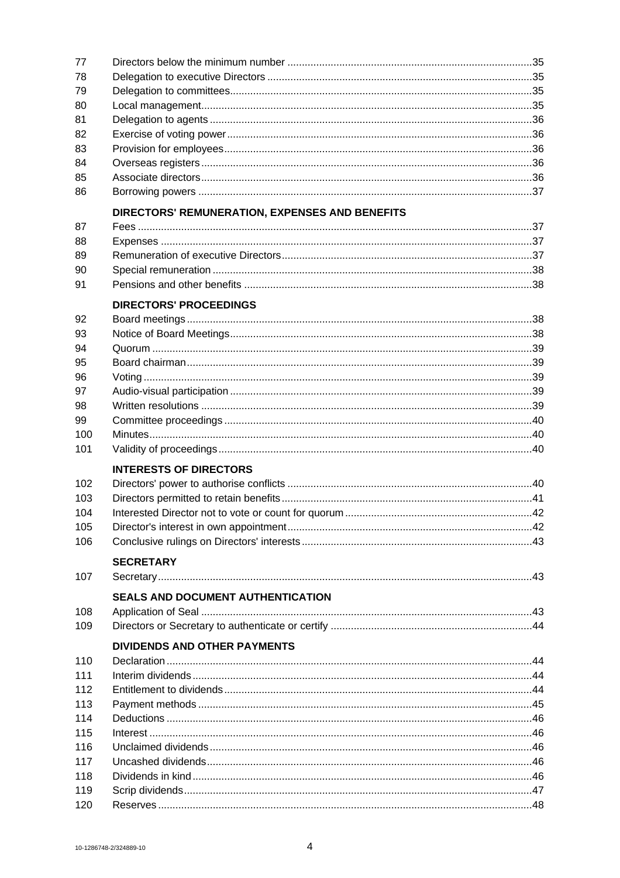| 77  |                                                |  |
|-----|------------------------------------------------|--|
| 78  |                                                |  |
| 79  |                                                |  |
| 80  |                                                |  |
| 81  |                                                |  |
| 82  |                                                |  |
| 83  |                                                |  |
| 84  |                                                |  |
| 85  |                                                |  |
| 86  |                                                |  |
|     | DIRECTORS' REMUNERATION, EXPENSES AND BENEFITS |  |
| 87  |                                                |  |
| 88  |                                                |  |
| 89  |                                                |  |
| 90  |                                                |  |
| 91  |                                                |  |
|     | <b>DIRECTORS' PROCEEDINGS</b>                  |  |
| 92  |                                                |  |
| 93  |                                                |  |
| 94  |                                                |  |
| 95  |                                                |  |
| 96  |                                                |  |
| 97  |                                                |  |
| 98  |                                                |  |
| 99  |                                                |  |
| 100 |                                                |  |
| 101 |                                                |  |
|     | <b>INTERESTS OF DIRECTORS</b>                  |  |
| 102 |                                                |  |
| 103 |                                                |  |
| 104 |                                                |  |
| 105 |                                                |  |
| 106 |                                                |  |
|     | <b>SECRETARY</b>                               |  |
| 107 |                                                |  |
|     | <b>SEALS AND DOCUMENT AUTHENTICATION</b>       |  |
| 108 |                                                |  |
| 109 |                                                |  |
|     | <b>DIVIDENDS AND OTHER PAYMENTS</b>            |  |
| 110 |                                                |  |
| 111 |                                                |  |
| 112 |                                                |  |
| 113 |                                                |  |
| 114 |                                                |  |
| 115 |                                                |  |
| 116 |                                                |  |
| 117 |                                                |  |
| 118 |                                                |  |
| 119 |                                                |  |
| 120 |                                                |  |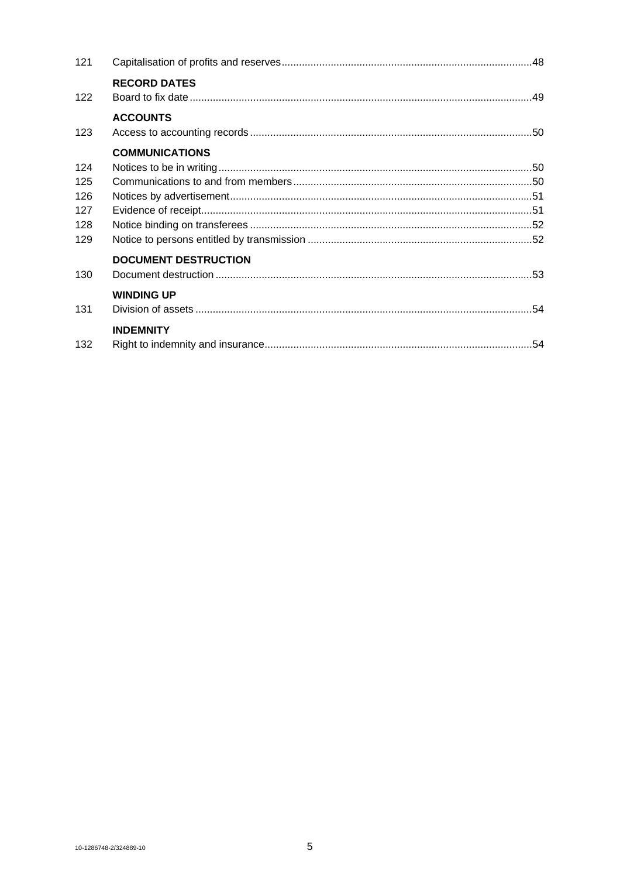| 121 |                             |  |
|-----|-----------------------------|--|
| 122 | <b>RECORD DATES</b>         |  |
|     | <b>ACCOUNTS</b>             |  |
| 123 |                             |  |
|     | <b>COMMUNICATIONS</b>       |  |
| 124 |                             |  |
| 125 |                             |  |
| 126 |                             |  |
| 127 |                             |  |
| 128 |                             |  |
| 129 |                             |  |
|     | <b>DOCUMENT DESTRUCTION</b> |  |
| 130 |                             |  |
|     | <b>WINDING UP</b>           |  |
| 131 |                             |  |
|     | <b>INDEMNITY</b>            |  |
| 132 |                             |  |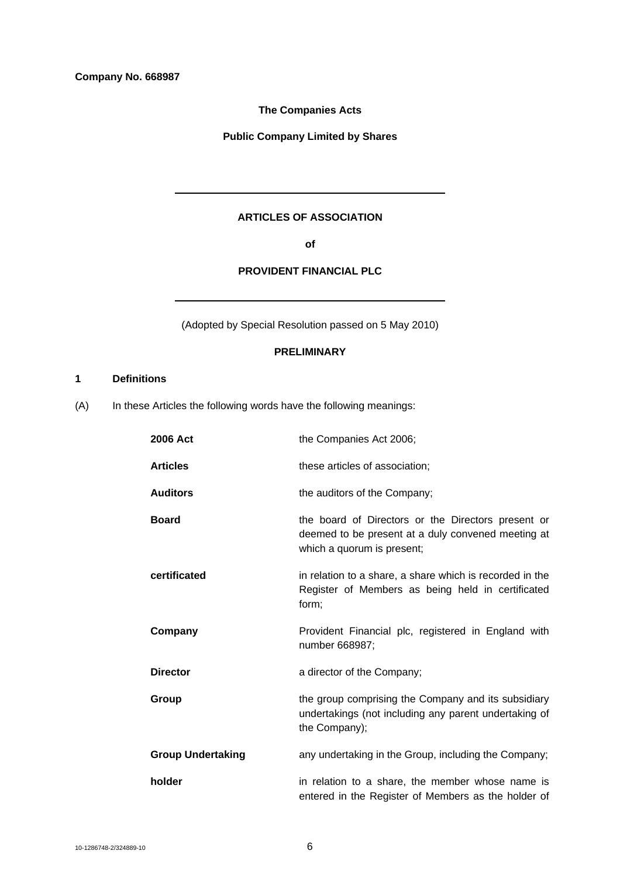**Company No. 668987** 

**The Companies Acts** 

**Public Company Limited by Shares** 

# **ARTICLES OF ASSOCIATION**

**of** 

# **PROVIDENT FINANCIAL PLC**

(Adopted by Special Resolution passed on 5 May 2010)

# **PRELIMINARY**

# **1 Definitions**

(A) In these Articles the following words have the following meanings:

| 2006 Act                 | the Companies Act 2006;                                                                                                                |
|--------------------------|----------------------------------------------------------------------------------------------------------------------------------------|
| <b>Articles</b>          | these articles of association;                                                                                                         |
| <b>Auditors</b>          | the auditors of the Company;                                                                                                           |
| <b>Board</b>             | the board of Directors or the Directors present or<br>deemed to be present at a duly convened meeting at<br>which a quorum is present; |
| certificated             | in relation to a share, a share which is recorded in the<br>Register of Members as being held in certificated<br>form;                 |
| Company                  | Provident Financial plc, registered in England with<br>number 668987;                                                                  |
| <b>Director</b>          | a director of the Company;                                                                                                             |
| Group                    | the group comprising the Company and its subsidiary<br>undertakings (not including any parent undertaking of<br>the Company);          |
| <b>Group Undertaking</b> | any undertaking in the Group, including the Company;                                                                                   |
| holder                   | in relation to a share, the member whose name is<br>entered in the Register of Members as the holder of                                |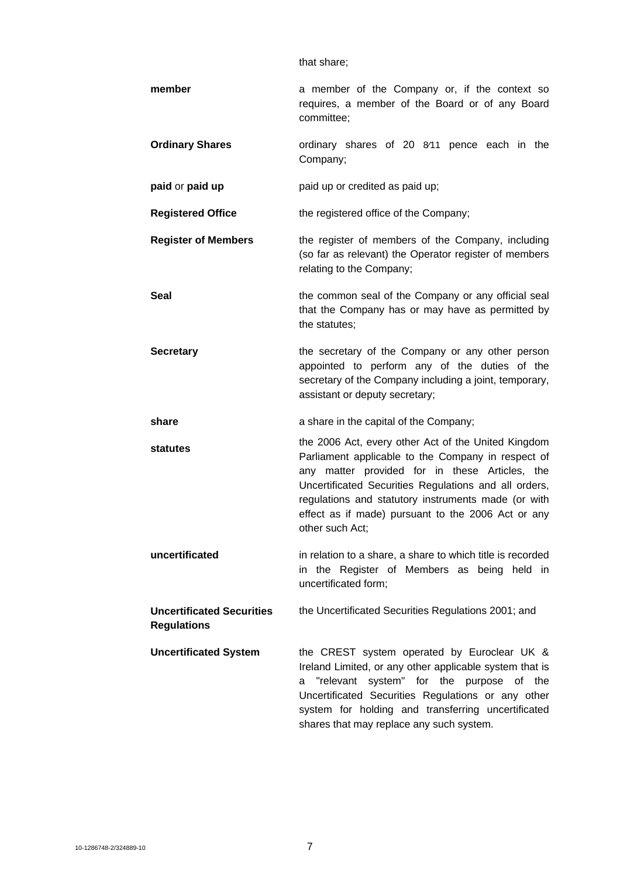that share;

| member                                                 | a member of the Company or, if the context so<br>requires, a member of the Board or of any Board<br>committee;                                                                                                                                                                                                                                       |
|--------------------------------------------------------|------------------------------------------------------------------------------------------------------------------------------------------------------------------------------------------------------------------------------------------------------------------------------------------------------------------------------------------------------|
| <b>Ordinary Shares</b>                                 | ordinary shares of 20 8/11 pence each in the<br>Company;                                                                                                                                                                                                                                                                                             |
| paid or paid up                                        | paid up or credited as paid up;                                                                                                                                                                                                                                                                                                                      |
| <b>Registered Office</b>                               | the registered office of the Company;                                                                                                                                                                                                                                                                                                                |
| <b>Register of Members</b>                             | the register of members of the Company, including<br>(so far as relevant) the Operator register of members<br>relating to the Company;                                                                                                                                                                                                               |
| Seal                                                   | the common seal of the Company or any official seal<br>that the Company has or may have as permitted by<br>the statutes;                                                                                                                                                                                                                             |
| <b>Secretary</b>                                       | the secretary of the Company or any other person<br>appointed to perform any of the duties of the<br>secretary of the Company including a joint, temporary,<br>assistant or deputy secretary;                                                                                                                                                        |
| share                                                  | a share in the capital of the Company;                                                                                                                                                                                                                                                                                                               |
| statutes                                               | the 2006 Act, every other Act of the United Kingdom<br>Parliament applicable to the Company in respect of<br>any matter provided for in these Articles, the<br>Uncertificated Securities Regulations and all orders,<br>regulations and statutory instruments made (or with<br>effect as if made) pursuant to the 2006 Act or any<br>other such Act: |
| uncertificated                                         | in relation to a share, a share to which title is recorded<br>in the Register of Members as being held in<br>uncertificated form;                                                                                                                                                                                                                    |
| <b>Uncertificated Securities</b><br><b>Regulations</b> | the Uncertificated Securities Regulations 2001; and                                                                                                                                                                                                                                                                                                  |
| <b>Uncertificated System</b>                           | the CREST system operated by Euroclear UK &<br>Ireland Limited, or any other applicable system that is<br>"relevant system" for the purpose of the<br>a<br>Uncertificated Securities Regulations or any other<br>system for holding and transferring uncertificated<br>shares that may replace any such system.                                      |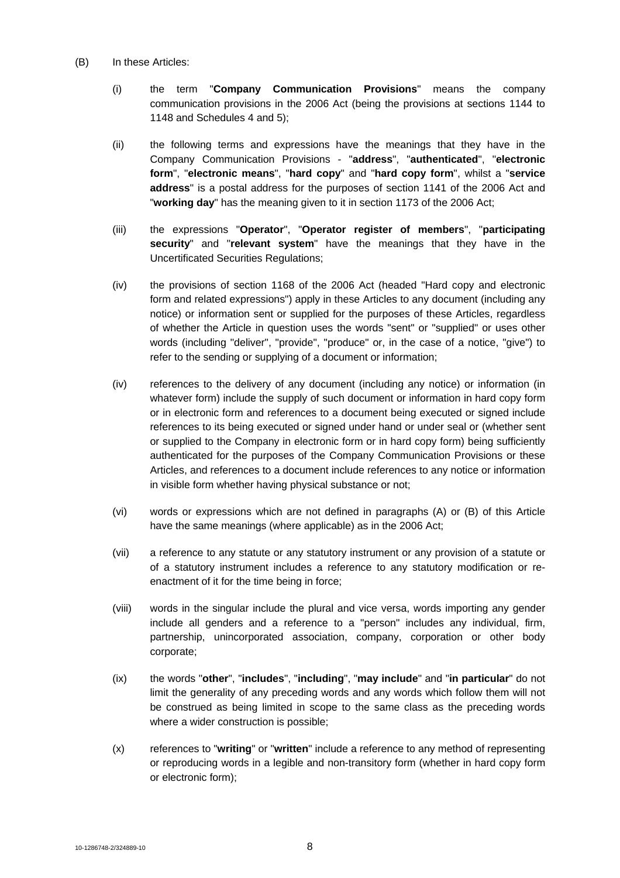- (B) In these Articles:
	- (i) the term "**Company Communication Provisions**" means the company communication provisions in the 2006 Act (being the provisions at sections 1144 to 1148 and Schedules 4 and 5);
	- (ii) the following terms and expressions have the meanings that they have in the Company Communication Provisions - "**address**", "**authenticated**", "**electronic form**", "**electronic means**", "**hard copy**" and "**hard copy form**", whilst a "**service address**" is a postal address for the purposes of section 1141 of the 2006 Act and "**working day**" has the meaning given to it in section 1173 of the 2006 Act;
	- (iii) the expressions "**Operator**", "**Operator register of members**", "**participating security**" and "**relevant system**" have the meanings that they have in the Uncertificated Securities Regulations;
	- (iv) the provisions of section 1168 of the 2006 Act (headed "Hard copy and electronic form and related expressions") apply in these Articles to any document (including any notice) or information sent or supplied for the purposes of these Articles, regardless of whether the Article in question uses the words "sent" or "supplied" or uses other words (including "deliver", "provide", "produce" or, in the case of a notice, "give") to refer to the sending or supplying of a document or information;
	- (iv) references to the delivery of any document (including any notice) or information (in whatever form) include the supply of such document or information in hard copy form or in electronic form and references to a document being executed or signed include references to its being executed or signed under hand or under seal or (whether sent or supplied to the Company in electronic form or in hard copy form) being sufficiently authenticated for the purposes of the Company Communication Provisions or these Articles, and references to a document include references to any notice or information in visible form whether having physical substance or not;
	- (vi) words or expressions which are not defined in paragraphs (A) or (B) of this Article have the same meanings (where applicable) as in the 2006 Act;
	- (vii) a reference to any statute or any statutory instrument or any provision of a statute or of a statutory instrument includes a reference to any statutory modification or reenactment of it for the time being in force;
	- (viii) words in the singular include the plural and vice versa, words importing any gender include all genders and a reference to a "person" includes any individual, firm, partnership, unincorporated association, company, corporation or other body corporate;
	- (ix) the words "**other**", "**includes**", "**including**", "**may include**" and "**in particular**" do not limit the generality of any preceding words and any words which follow them will not be construed as being limited in scope to the same class as the preceding words where a wider construction is possible;
	- (x) references to "**writing**" or "**written**" include a reference to any method of representing or reproducing words in a legible and non-transitory form (whether in hard copy form or electronic form);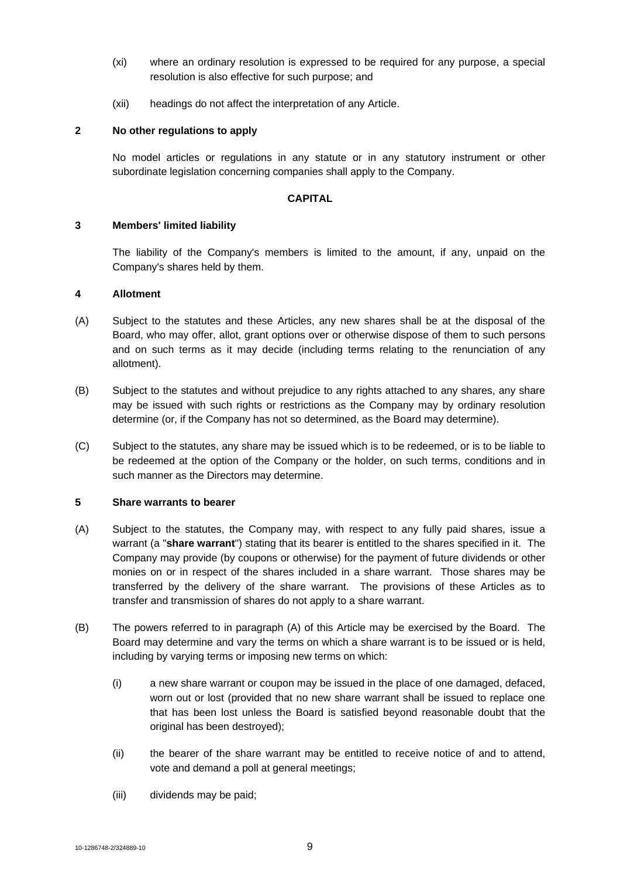- (xi) where an ordinary resolution is expressed to be required for any purpose, a special resolution is also effective for such purpose; and
- (xii) headings do not affect the interpretation of any Article.

# **2 No other regulations to apply**

No model articles or regulations in any statute or in any statutory instrument or other subordinate legislation concerning companies shall apply to the Company.

# **CAPITAL**

# **3 Members' limited liability**

The liability of the Company's members is limited to the amount, if any, unpaid on the Company's shares held by them.

# **4 Allotment**

- (A) Subject to the statutes and these Articles, any new shares shall be at the disposal of the Board, who may offer, allot, grant options over or otherwise dispose of them to such persons and on such terms as it may decide (including terms relating to the renunciation of any allotment).
- (B) Subject to the statutes and without prejudice to any rights attached to any shares, any share may be issued with such rights or restrictions as the Company may by ordinary resolution determine (or, if the Company has not so determined, as the Board may determine).
- (C) Subject to the statutes, any share may be issued which is to be redeemed, or is to be liable to be redeemed at the option of the Company or the holder, on such terms, conditions and in such manner as the Directors may determine.

# **5 Share warrants to bearer**

- (A) Subject to the statutes, the Company may, with respect to any fully paid shares, issue a warrant (a "**share warrant**") stating that its bearer is entitled to the shares specified in it. The Company may provide (by coupons or otherwise) for the payment of future dividends or other monies on or in respect of the shares included in a share warrant. Those shares may be transferred by the delivery of the share warrant. The provisions of these Articles as to transfer and transmission of shares do not apply to a share warrant.
- (B) The powers referred to in paragraph (A) of this Article may be exercised by the Board. The Board may determine and vary the terms on which a share warrant is to be issued or is held, including by varying terms or imposing new terms on which:
	- (i) a new share warrant or coupon may be issued in the place of one damaged, defaced, worn out or lost (provided that no new share warrant shall be issued to replace one that has been lost unless the Board is satisfied beyond reasonable doubt that the original has been destroyed);
	- (ii) the bearer of the share warrant may be entitled to receive notice of and to attend, vote and demand a poll at general meetings;
	- (iii) dividends may be paid;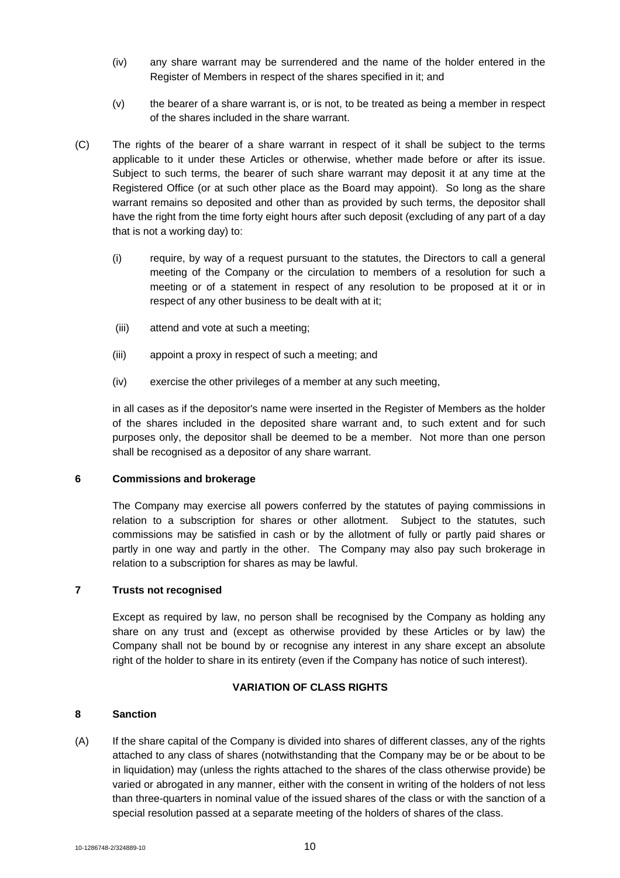- (iv) any share warrant may be surrendered and the name of the holder entered in the Register of Members in respect of the shares specified in it; and
- (v) the bearer of a share warrant is, or is not, to be treated as being a member in respect of the shares included in the share warrant.
- (C) The rights of the bearer of a share warrant in respect of it shall be subject to the terms applicable to it under these Articles or otherwise, whether made before or after its issue. Subject to such terms, the bearer of such share warrant may deposit it at any time at the Registered Office (or at such other place as the Board may appoint). So long as the share warrant remains so deposited and other than as provided by such terms, the depositor shall have the right from the time forty eight hours after such deposit (excluding of any part of a day that is not a working day) to:
	- (i) require, by way of a request pursuant to the statutes, the Directors to call a general meeting of the Company or the circulation to members of a resolution for such a meeting or of a statement in respect of any resolution to be proposed at it or in respect of any other business to be dealt with at it;
	- (iii) attend and vote at such a meeting;
	- (iii) appoint a proxy in respect of such a meeting; and
	- (iv) exercise the other privileges of a member at any such meeting,

in all cases as if the depositor's name were inserted in the Register of Members as the holder of the shares included in the deposited share warrant and, to such extent and for such purposes only, the depositor shall be deemed to be a member. Not more than one person shall be recognised as a depositor of any share warrant.

#### **6 Commissions and brokerage**

The Company may exercise all powers conferred by the statutes of paying commissions in relation to a subscription for shares or other allotment. Subject to the statutes, such commissions may be satisfied in cash or by the allotment of fully or partly paid shares or partly in one way and partly in the other. The Company may also pay such brokerage in relation to a subscription for shares as may be lawful.

# **7 Trusts not recognised**

Except as required by law, no person shall be recognised by the Company as holding any share on any trust and (except as otherwise provided by these Articles or by law) the Company shall not be bound by or recognise any interest in any share except an absolute right of the holder to share in its entirety (even if the Company has notice of such interest).

#### **VARIATION OF CLASS RIGHTS**

### **8 Sanction**

(A) If the share capital of the Company is divided into shares of different classes, any of the rights attached to any class of shares (notwithstanding that the Company may be or be about to be in liquidation) may (unless the rights attached to the shares of the class otherwise provide) be varied or abrogated in any manner, either with the consent in writing of the holders of not less than three-quarters in nominal value of the issued shares of the class or with the sanction of a special resolution passed at a separate meeting of the holders of shares of the class.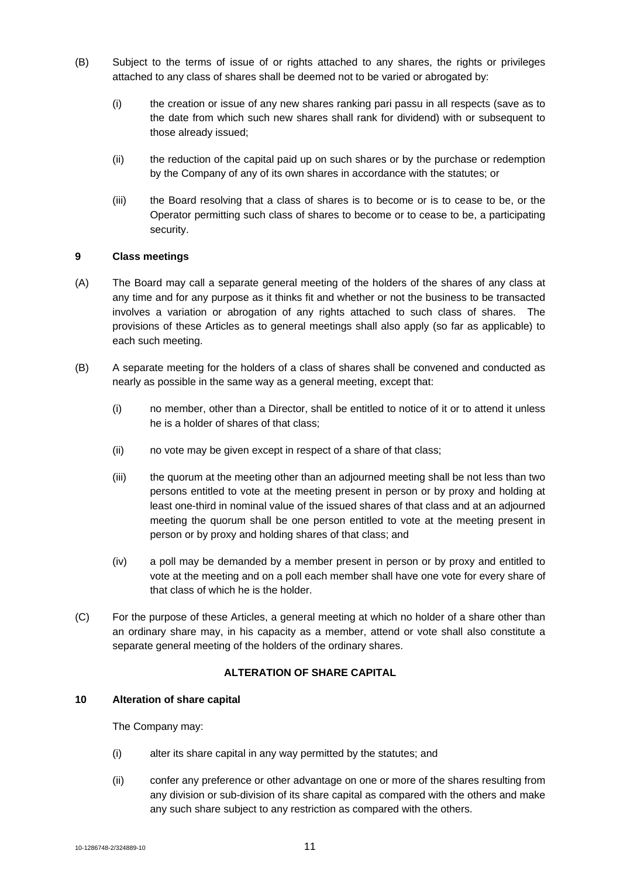- (B) Subject to the terms of issue of or rights attached to any shares, the rights or privileges attached to any class of shares shall be deemed not to be varied or abrogated by:
	- (i) the creation or issue of any new shares ranking pari passu in all respects (save as to the date from which such new shares shall rank for dividend) with or subsequent to those already issued;
	- (ii) the reduction of the capital paid up on such shares or by the purchase or redemption by the Company of any of its own shares in accordance with the statutes; or
	- (iii) the Board resolving that a class of shares is to become or is to cease to be, or the Operator permitting such class of shares to become or to cease to be, a participating security.

### **9 Class meetings**

- (A) The Board may call a separate general meeting of the holders of the shares of any class at any time and for any purpose as it thinks fit and whether or not the business to be transacted involves a variation or abrogation of any rights attached to such class of shares. The provisions of these Articles as to general meetings shall also apply (so far as applicable) to each such meeting.
- (B) A separate meeting for the holders of a class of shares shall be convened and conducted as nearly as possible in the same way as a general meeting, except that:
	- (i) no member, other than a Director, shall be entitled to notice of it or to attend it unless he is a holder of shares of that class;
	- (ii) no vote may be given except in respect of a share of that class;
	- (iii) the quorum at the meeting other than an adjourned meeting shall be not less than two persons entitled to vote at the meeting present in person or by proxy and holding at least one-third in nominal value of the issued shares of that class and at an adjourned meeting the quorum shall be one person entitled to vote at the meeting present in person or by proxy and holding shares of that class; and
	- (iv) a poll may be demanded by a member present in person or by proxy and entitled to vote at the meeting and on a poll each member shall have one vote for every share of that class of which he is the holder.
- (C) For the purpose of these Articles, a general meeting at which no holder of a share other than an ordinary share may, in his capacity as a member, attend or vote shall also constitute a separate general meeting of the holders of the ordinary shares.

# **ALTERATION OF SHARE CAPITAL**

#### **10 Alteration of share capital**

The Company may:

- (i) alter its share capital in any way permitted by the statutes; and
- (ii) confer any preference or other advantage on one or more of the shares resulting from any division or sub-division of its share capital as compared with the others and make any such share subject to any restriction as compared with the others.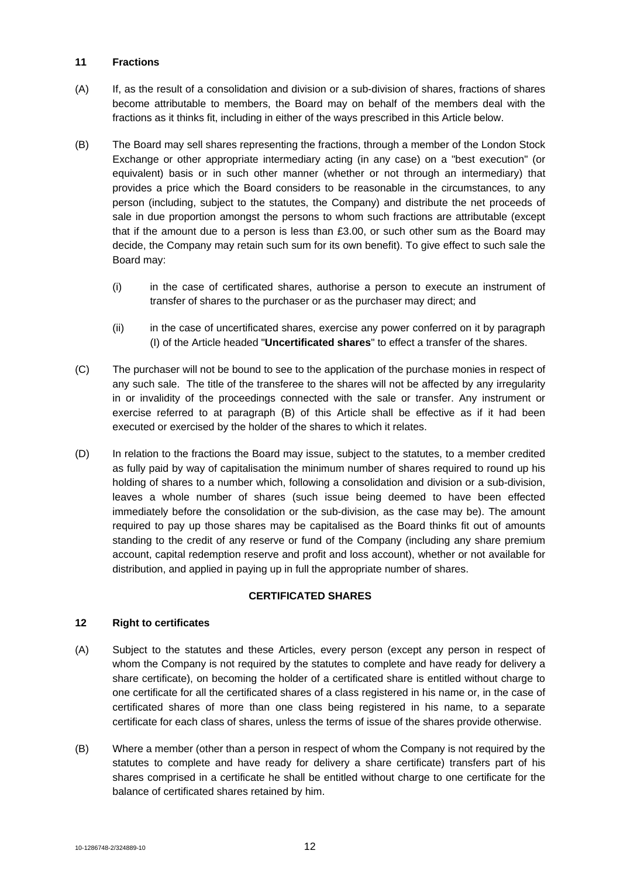### **11 Fractions**

- (A) If, as the result of a consolidation and division or a sub-division of shares, fractions of shares become attributable to members, the Board may on behalf of the members deal with the fractions as it thinks fit, including in either of the ways prescribed in this Article below.
- (B) The Board may sell shares representing the fractions, through a member of the London Stock Exchange or other appropriate intermediary acting (in any case) on a "best execution" (or equivalent) basis or in such other manner (whether or not through an intermediary) that provides a price which the Board considers to be reasonable in the circumstances, to any person (including, subject to the statutes, the Company) and distribute the net proceeds of sale in due proportion amongst the persons to whom such fractions are attributable (except that if the amount due to a person is less than £3.00, or such other sum as the Board may decide, the Company may retain such sum for its own benefit). To give effect to such sale the Board may:
	- (i) in the case of certificated shares, authorise a person to execute an instrument of transfer of shares to the purchaser or as the purchaser may direct; and
	- (ii) in the case of uncertificated shares, exercise any power conferred on it by paragraph (I) of the Article headed "**Uncertificated shares**" to effect a transfer of the shares.
- (C) The purchaser will not be bound to see to the application of the purchase monies in respect of any such sale. The title of the transferee to the shares will not be affected by any irregularity in or invalidity of the proceedings connected with the sale or transfer. Any instrument or exercise referred to at paragraph (B) of this Article shall be effective as if it had been executed or exercised by the holder of the shares to which it relates.
- (D) In relation to the fractions the Board may issue, subject to the statutes, to a member credited as fully paid by way of capitalisation the minimum number of shares required to round up his holding of shares to a number which, following a consolidation and division or a sub-division, leaves a whole number of shares (such issue being deemed to have been effected immediately before the consolidation or the sub-division, as the case may be). The amount required to pay up those shares may be capitalised as the Board thinks fit out of amounts standing to the credit of any reserve or fund of the Company (including any share premium account, capital redemption reserve and profit and loss account), whether or not available for distribution, and applied in paying up in full the appropriate number of shares.

# **CERTIFICATED SHARES**

#### **12 Right to certificates**

- (A) Subject to the statutes and these Articles, every person (except any person in respect of whom the Company is not required by the statutes to complete and have ready for delivery a share certificate), on becoming the holder of a certificated share is entitled without charge to one certificate for all the certificated shares of a class registered in his name or, in the case of certificated shares of more than one class being registered in his name, to a separate certificate for each class of shares, unless the terms of issue of the shares provide otherwise.
- (B) Where a member (other than a person in respect of whom the Company is not required by the statutes to complete and have ready for delivery a share certificate) transfers part of his shares comprised in a certificate he shall be entitled without charge to one certificate for the balance of certificated shares retained by him.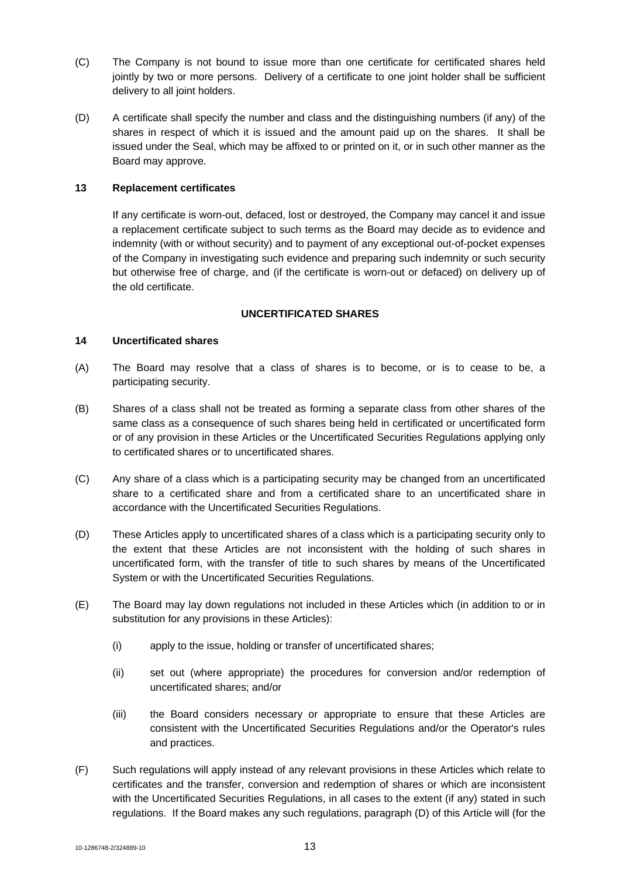- (C) The Company is not bound to issue more than one certificate for certificated shares held jointly by two or more persons. Delivery of a certificate to one joint holder shall be sufficient delivery to all joint holders.
- (D) A certificate shall specify the number and class and the distinguishing numbers (if any) of the shares in respect of which it is issued and the amount paid up on the shares. It shall be issued under the Seal, which may be affixed to or printed on it, or in such other manner as the Board may approve.

#### **13 Replacement certificates**

If any certificate is worn-out, defaced, lost or destroyed, the Company may cancel it and issue a replacement certificate subject to such terms as the Board may decide as to evidence and indemnity (with or without security) and to payment of any exceptional out-of-pocket expenses of the Company in investigating such evidence and preparing such indemnity or such security but otherwise free of charge, and (if the certificate is worn-out or defaced) on delivery up of the old certificate.

## **UNCERTIFICATED SHARES**

### **14 Uncertificated shares**

- (A) The Board may resolve that a class of shares is to become, or is to cease to be, a participating security.
- (B) Shares of a class shall not be treated as forming a separate class from other shares of the same class as a consequence of such shares being held in certificated or uncertificated form or of any provision in these Articles or the Uncertificated Securities Regulations applying only to certificated shares or to uncertificated shares.
- (C) Any share of a class which is a participating security may be changed from an uncertificated share to a certificated share and from a certificated share to an uncertificated share in accordance with the Uncertificated Securities Regulations.
- (D) These Articles apply to uncertificated shares of a class which is a participating security only to the extent that these Articles are not inconsistent with the holding of such shares in uncertificated form, with the transfer of title to such shares by means of the Uncertificated System or with the Uncertificated Securities Regulations.
- (E) The Board may lay down regulations not included in these Articles which (in addition to or in substitution for any provisions in these Articles):
	- (i) apply to the issue, holding or transfer of uncertificated shares;
	- (ii) set out (where appropriate) the procedures for conversion and/or redemption of uncertificated shares; and/or
	- (iii) the Board considers necessary or appropriate to ensure that these Articles are consistent with the Uncertificated Securities Regulations and/or the Operator's rules and practices.
- (F) Such regulations will apply instead of any relevant provisions in these Articles which relate to certificates and the transfer, conversion and redemption of shares or which are inconsistent with the Uncertificated Securities Regulations, in all cases to the extent (if any) stated in such regulations. If the Board makes any such regulations, paragraph (D) of this Article will (for the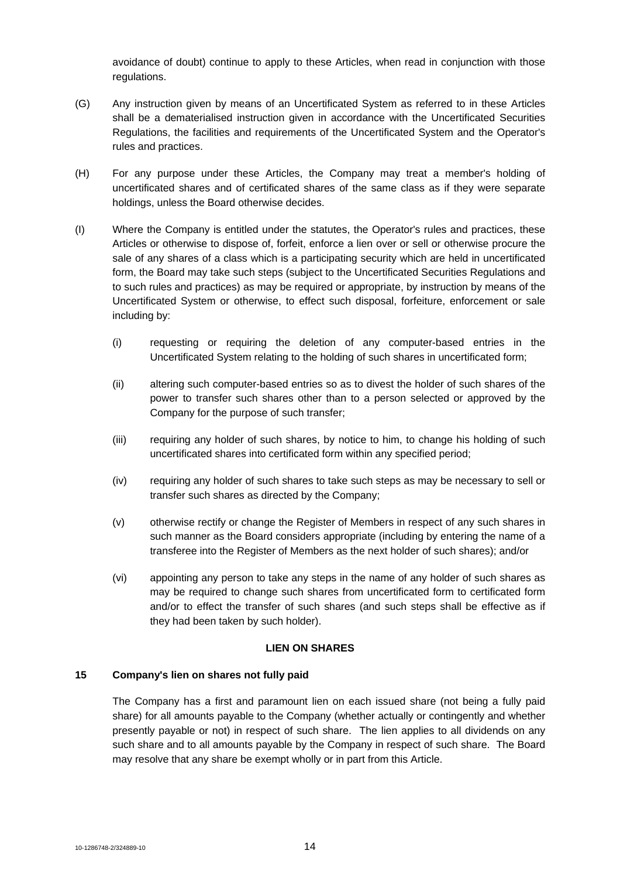avoidance of doubt) continue to apply to these Articles, when read in conjunction with those regulations.

- (G) Any instruction given by means of an Uncertificated System as referred to in these Articles shall be a dematerialised instruction given in accordance with the Uncertificated Securities Regulations, the facilities and requirements of the Uncertificated System and the Operator's rules and practices.
- (H) For any purpose under these Articles, the Company may treat a member's holding of uncertificated shares and of certificated shares of the same class as if they were separate holdings, unless the Board otherwise decides.
- (I) Where the Company is entitled under the statutes, the Operator's rules and practices, these Articles or otherwise to dispose of, forfeit, enforce a lien over or sell or otherwise procure the sale of any shares of a class which is a participating security which are held in uncertificated form, the Board may take such steps (subject to the Uncertificated Securities Regulations and to such rules and practices) as may be required or appropriate, by instruction by means of the Uncertificated System or otherwise, to effect such disposal, forfeiture, enforcement or sale including by:
	- (i) requesting or requiring the deletion of any computer-based entries in the Uncertificated System relating to the holding of such shares in uncertificated form;
	- (ii) altering such computer-based entries so as to divest the holder of such shares of the power to transfer such shares other than to a person selected or approved by the Company for the purpose of such transfer;
	- (iii) requiring any holder of such shares, by notice to him, to change his holding of such uncertificated shares into certificated form within any specified period;
	- (iv) requiring any holder of such shares to take such steps as may be necessary to sell or transfer such shares as directed by the Company;
	- (v) otherwise rectify or change the Register of Members in respect of any such shares in such manner as the Board considers appropriate (including by entering the name of a transferee into the Register of Members as the next holder of such shares); and/or
	- (vi) appointing any person to take any steps in the name of any holder of such shares as may be required to change such shares from uncertificated form to certificated form and/or to effect the transfer of such shares (and such steps shall be effective as if they had been taken by such holder).

# **LIEN ON SHARES**

# **15 Company's lien on shares not fully paid**

The Company has a first and paramount lien on each issued share (not being a fully paid share) for all amounts payable to the Company (whether actually or contingently and whether presently payable or not) in respect of such share. The lien applies to all dividends on any such share and to all amounts payable by the Company in respect of such share. The Board may resolve that any share be exempt wholly or in part from this Article.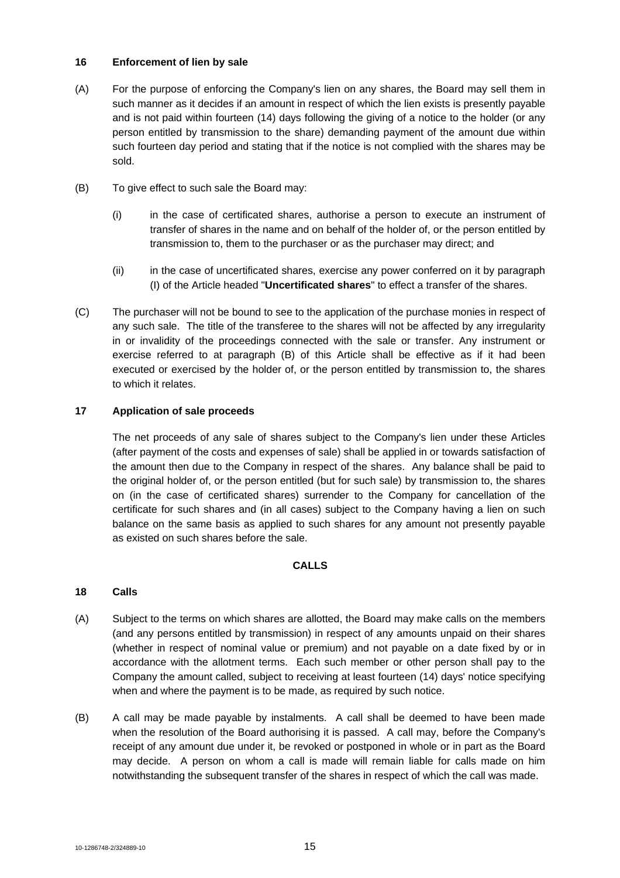### **16 Enforcement of lien by sale**

- (A) For the purpose of enforcing the Company's lien on any shares, the Board may sell them in such manner as it decides if an amount in respect of which the lien exists is presently payable and is not paid within fourteen (14) days following the giving of a notice to the holder (or any person entitled by transmission to the share) demanding payment of the amount due within such fourteen day period and stating that if the notice is not complied with the shares may be sold.
- (B) To give effect to such sale the Board may:
	- (i) in the case of certificated shares, authorise a person to execute an instrument of transfer of shares in the name and on behalf of the holder of, or the person entitled by transmission to, them to the purchaser or as the purchaser may direct; and
	- (ii) in the case of uncertificated shares, exercise any power conferred on it by paragraph (I) of the Article headed "**Uncertificated shares**" to effect a transfer of the shares.
- (C) The purchaser will not be bound to see to the application of the purchase monies in respect of any such sale. The title of the transferee to the shares will not be affected by any irregularity in or invalidity of the proceedings connected with the sale or transfer. Any instrument or exercise referred to at paragraph (B) of this Article shall be effective as if it had been executed or exercised by the holder of, or the person entitled by transmission to, the shares to which it relates.

# **17 Application of sale proceeds**

The net proceeds of any sale of shares subject to the Company's lien under these Articles (after payment of the costs and expenses of sale) shall be applied in or towards satisfaction of the amount then due to the Company in respect of the shares. Any balance shall be paid to the original holder of, or the person entitled (but for such sale) by transmission to, the shares on (in the case of certificated shares) surrender to the Company for cancellation of the certificate for such shares and (in all cases) subject to the Company having a lien on such balance on the same basis as applied to such shares for any amount not presently payable as existed on such shares before the sale.

# **CALLS**

# **18 Calls**

- (A) Subject to the terms on which shares are allotted, the Board may make calls on the members (and any persons entitled by transmission) in respect of any amounts unpaid on their shares (whether in respect of nominal value or premium) and not payable on a date fixed by or in accordance with the allotment terms. Each such member or other person shall pay to the Company the amount called, subject to receiving at least fourteen (14) days' notice specifying when and where the payment is to be made, as required by such notice.
- (B) A call may be made payable by instalments. A call shall be deemed to have been made when the resolution of the Board authorising it is passed. A call may, before the Company's receipt of any amount due under it, be revoked or postponed in whole or in part as the Board may decide. A person on whom a call is made will remain liable for calls made on him notwithstanding the subsequent transfer of the shares in respect of which the call was made.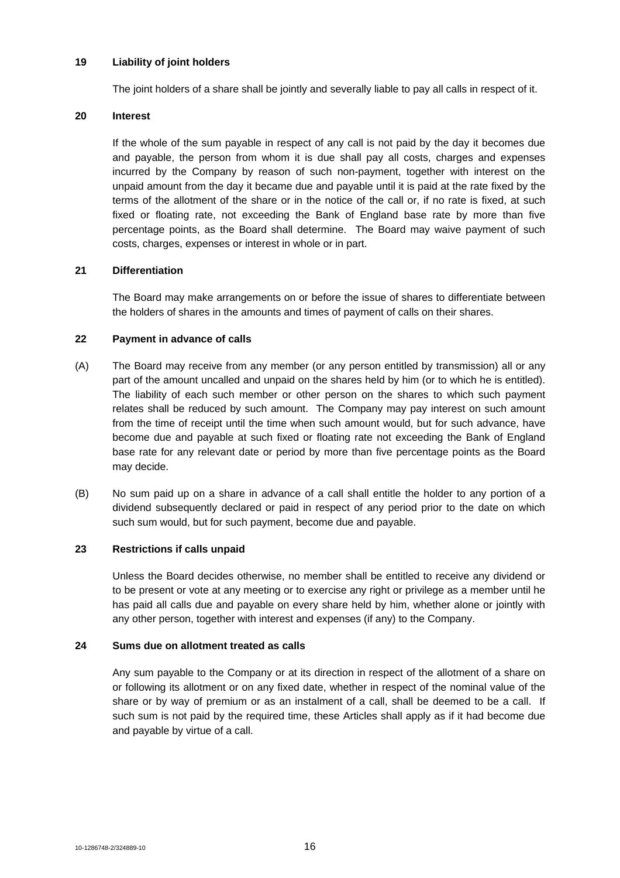### **19 Liability of joint holders**

The joint holders of a share shall be jointly and severally liable to pay all calls in respect of it.

### **20 Interest**

If the whole of the sum payable in respect of any call is not paid by the day it becomes due and payable, the person from whom it is due shall pay all costs, charges and expenses incurred by the Company by reason of such non-payment, together with interest on the unpaid amount from the day it became due and payable until it is paid at the rate fixed by the terms of the allotment of the share or in the notice of the call or, if no rate is fixed, at such fixed or floating rate, not exceeding the Bank of England base rate by more than five percentage points, as the Board shall determine. The Board may waive payment of such costs, charges, expenses or interest in whole or in part.

#### **21 Differentiation**

The Board may make arrangements on or before the issue of shares to differentiate between the holders of shares in the amounts and times of payment of calls on their shares.

### **22 Payment in advance of calls**

- (A) The Board may receive from any member (or any person entitled by transmission) all or any part of the amount uncalled and unpaid on the shares held by him (or to which he is entitled). The liability of each such member or other person on the shares to which such payment relates shall be reduced by such amount. The Company may pay interest on such amount from the time of receipt until the time when such amount would, but for such advance, have become due and payable at such fixed or floating rate not exceeding the Bank of England base rate for any relevant date or period by more than five percentage points as the Board may decide.
- (B) No sum paid up on a share in advance of a call shall entitle the holder to any portion of a dividend subsequently declared or paid in respect of any period prior to the date on which such sum would, but for such payment, become due and payable.

# **23 Restrictions if calls unpaid**

Unless the Board decides otherwise, no member shall be entitled to receive any dividend or to be present or vote at any meeting or to exercise any right or privilege as a member until he has paid all calls due and payable on every share held by him, whether alone or jointly with any other person, together with interest and expenses (if any) to the Company.

### **24 Sums due on allotment treated as calls**

Any sum payable to the Company or at its direction in respect of the allotment of a share on or following its allotment or on any fixed date, whether in respect of the nominal value of the share or by way of premium or as an instalment of a call, shall be deemed to be a call. If such sum is not paid by the required time, these Articles shall apply as if it had become due and payable by virtue of a call.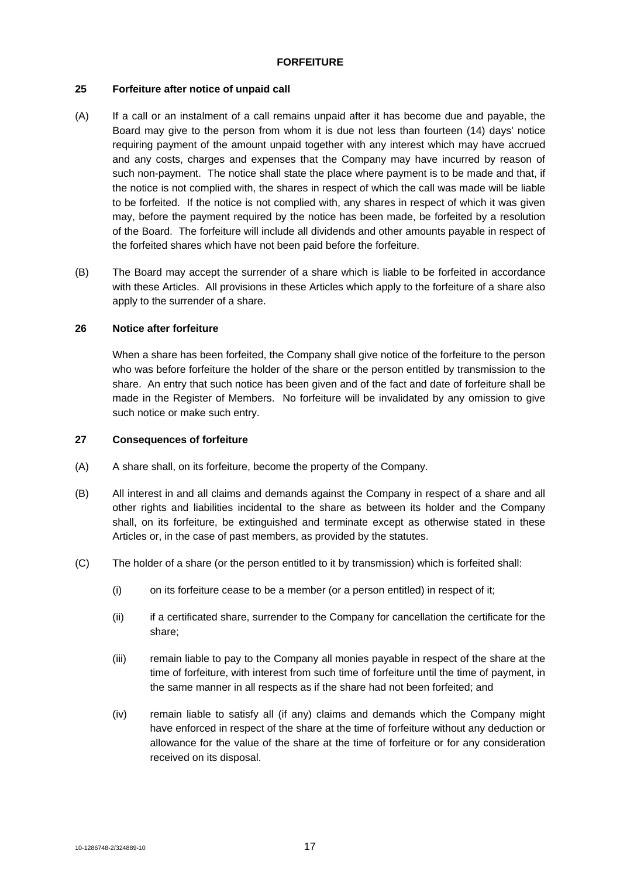### **FORFEITURE**

### **25 Forfeiture after notice of unpaid call**

- (A) If a call or an instalment of a call remains unpaid after it has become due and payable, the Board may give to the person from whom it is due not less than fourteen (14) days' notice requiring payment of the amount unpaid together with any interest which may have accrued and any costs, charges and expenses that the Company may have incurred by reason of such non-payment. The notice shall state the place where payment is to be made and that, if the notice is not complied with, the shares in respect of which the call was made will be liable to be forfeited. If the notice is not complied with, any shares in respect of which it was given may, before the payment required by the notice has been made, be forfeited by a resolution of the Board. The forfeiture will include all dividends and other amounts payable in respect of the forfeited shares which have not been paid before the forfeiture.
- (B) The Board may accept the surrender of a share which is liable to be forfeited in accordance with these Articles. All provisions in these Articles which apply to the forfeiture of a share also apply to the surrender of a share.

#### **26 Notice after forfeiture**

When a share has been forfeited, the Company shall give notice of the forfeiture to the person who was before forfeiture the holder of the share or the person entitled by transmission to the share. An entry that such notice has been given and of the fact and date of forfeiture shall be made in the Register of Members. No forfeiture will be invalidated by any omission to give such notice or make such entry.

#### **27 Consequences of forfeiture**

- (A) A share shall, on its forfeiture, become the property of the Company.
- (B) All interest in and all claims and demands against the Company in respect of a share and all other rights and liabilities incidental to the share as between its holder and the Company shall, on its forfeiture, be extinguished and terminate except as otherwise stated in these Articles or, in the case of past members, as provided by the statutes.
- (C) The holder of a share (or the person entitled to it by transmission) which is forfeited shall:
	- (i) on its forfeiture cease to be a member (or a person entitled) in respect of it;
	- (ii) if a certificated share, surrender to the Company for cancellation the certificate for the share;
	- (iii) remain liable to pay to the Company all monies payable in respect of the share at the time of forfeiture, with interest from such time of forfeiture until the time of payment, in the same manner in all respects as if the share had not been forfeited; and
	- (iv) remain liable to satisfy all (if any) claims and demands which the Company might have enforced in respect of the share at the time of forfeiture without any deduction or allowance for the value of the share at the time of forfeiture or for any consideration received on its disposal.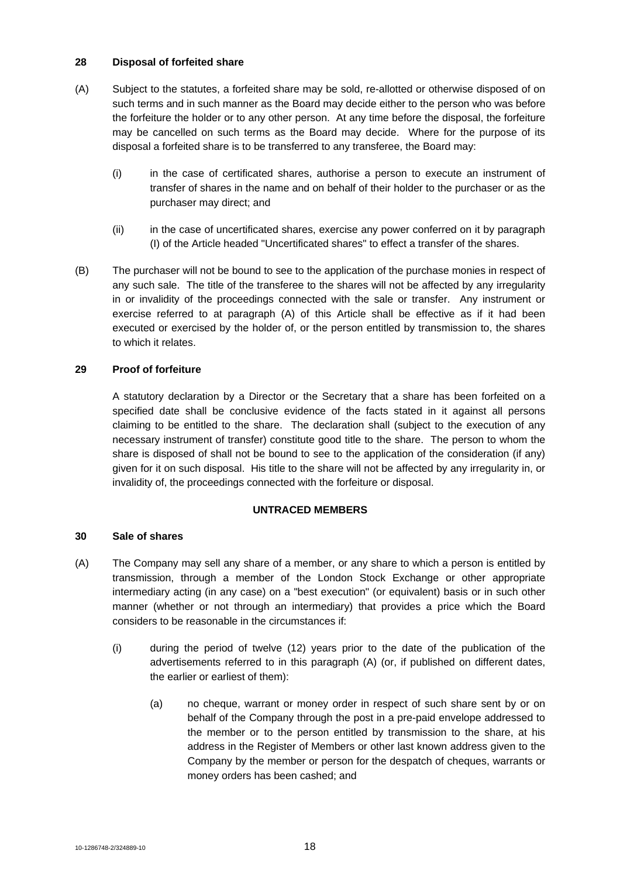# **28 Disposal of forfeited share**

- (A) Subject to the statutes, a forfeited share may be sold, re-allotted or otherwise disposed of on such terms and in such manner as the Board may decide either to the person who was before the forfeiture the holder or to any other person. At any time before the disposal, the forfeiture may be cancelled on such terms as the Board may decide. Where for the purpose of its disposal a forfeited share is to be transferred to any transferee, the Board may:
	- (i) in the case of certificated shares, authorise a person to execute an instrument of transfer of shares in the name and on behalf of their holder to the purchaser or as the purchaser may direct; and
	- (ii) in the case of uncertificated shares, exercise any power conferred on it by paragraph (I) of the Article headed "Uncertificated shares" to effect a transfer of the shares.
- (B) The purchaser will not be bound to see to the application of the purchase monies in respect of any such sale. The title of the transferee to the shares will not be affected by any irregularity in or invalidity of the proceedings connected with the sale or transfer. Any instrument or exercise referred to at paragraph (A) of this Article shall be effective as if it had been executed or exercised by the holder of, or the person entitled by transmission to, the shares to which it relates.

# **29 Proof of forfeiture**

A statutory declaration by a Director or the Secretary that a share has been forfeited on a specified date shall be conclusive evidence of the facts stated in it against all persons claiming to be entitled to the share. The declaration shall (subject to the execution of any necessary instrument of transfer) constitute good title to the share. The person to whom the share is disposed of shall not be bound to see to the application of the consideration (if any) given for it on such disposal. His title to the share will not be affected by any irregularity in, or invalidity of, the proceedings connected with the forfeiture or disposal.

# **UNTRACED MEMBERS**

# **30 Sale of shares**

- (A) The Company may sell any share of a member, or any share to which a person is entitled by transmission, through a member of the London Stock Exchange or other appropriate intermediary acting (in any case) on a "best execution" (or equivalent) basis or in such other manner (whether or not through an intermediary) that provides a price which the Board considers to be reasonable in the circumstances if:
	- (i) during the period of twelve (12) years prior to the date of the publication of the advertisements referred to in this paragraph (A) (or, if published on different dates, the earlier or earliest of them):
		- (a) no cheque, warrant or money order in respect of such share sent by or on behalf of the Company through the post in a pre-paid envelope addressed to the member or to the person entitled by transmission to the share, at his address in the Register of Members or other last known address given to the Company by the member or person for the despatch of cheques, warrants or money orders has been cashed; and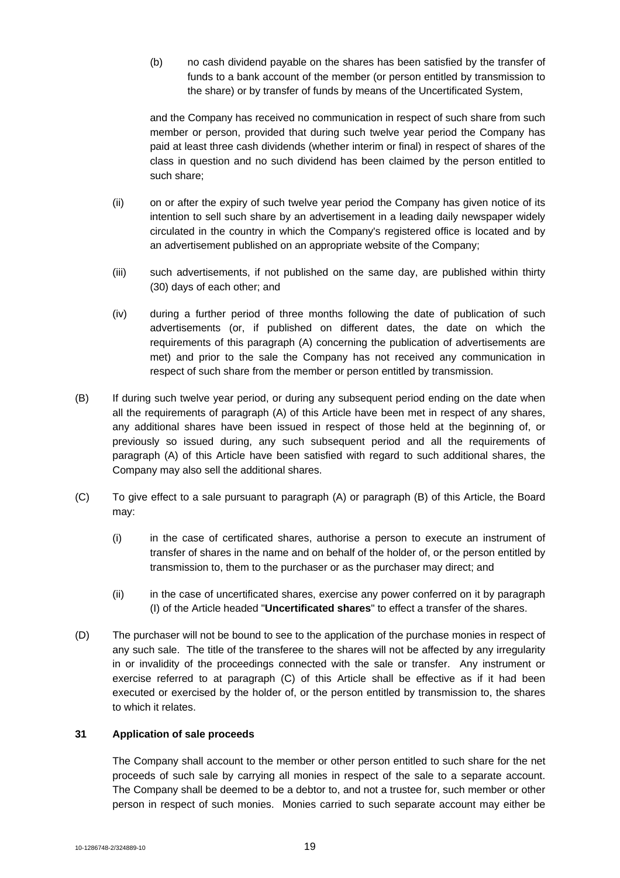(b) no cash dividend payable on the shares has been satisfied by the transfer of funds to a bank account of the member (or person entitled by transmission to the share) or by transfer of funds by means of the Uncertificated System,

and the Company has received no communication in respect of such share from such member or person, provided that during such twelve year period the Company has paid at least three cash dividends (whether interim or final) in respect of shares of the class in question and no such dividend has been claimed by the person entitled to such share;

- (ii) on or after the expiry of such twelve year period the Company has given notice of its intention to sell such share by an advertisement in a leading daily newspaper widely circulated in the country in which the Company's registered office is located and by an advertisement published on an appropriate website of the Company;
- (iii) such advertisements, if not published on the same day, are published within thirty (30) days of each other; and
- (iv) during a further period of three months following the date of publication of such advertisements (or, if published on different dates, the date on which the requirements of this paragraph (A) concerning the publication of advertisements are met) and prior to the sale the Company has not received any communication in respect of such share from the member or person entitled by transmission.
- (B) If during such twelve year period, or during any subsequent period ending on the date when all the requirements of paragraph (A) of this Article have been met in respect of any shares, any additional shares have been issued in respect of those held at the beginning of, or previously so issued during, any such subsequent period and all the requirements of paragraph (A) of this Article have been satisfied with regard to such additional shares, the Company may also sell the additional shares.
- (C) To give effect to a sale pursuant to paragraph (A) or paragraph (B) of this Article, the Board may:
	- (i) in the case of certificated shares, authorise a person to execute an instrument of transfer of shares in the name and on behalf of the holder of, or the person entitled by transmission to, them to the purchaser or as the purchaser may direct; and
	- (ii) in the case of uncertificated shares, exercise any power conferred on it by paragraph (I) of the Article headed "**Uncertificated shares**" to effect a transfer of the shares.
- (D) The purchaser will not be bound to see to the application of the purchase monies in respect of any such sale. The title of the transferee to the shares will not be affected by any irregularity in or invalidity of the proceedings connected with the sale or transfer. Any instrument or exercise referred to at paragraph (C) of this Article shall be effective as if it had been executed or exercised by the holder of, or the person entitled by transmission to, the shares to which it relates.

# **31 Application of sale proceeds**

The Company shall account to the member or other person entitled to such share for the net proceeds of such sale by carrying all monies in respect of the sale to a separate account. The Company shall be deemed to be a debtor to, and not a trustee for, such member or other person in respect of such monies. Monies carried to such separate account may either be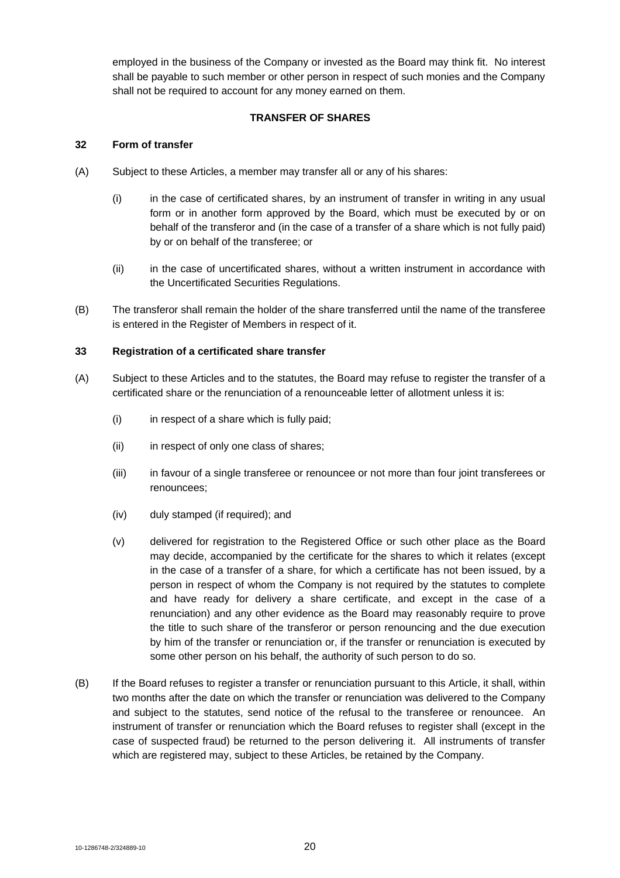employed in the business of the Company or invested as the Board may think fit. No interest shall be payable to such member or other person in respect of such monies and the Company shall not be required to account for any money earned on them.

# **TRANSFER OF SHARES**

# **32 Form of transfer**

- (A) Subject to these Articles, a member may transfer all or any of his shares:
	- (i) in the case of certificated shares, by an instrument of transfer in writing in any usual form or in another form approved by the Board, which must be executed by or on behalf of the transferor and (in the case of a transfer of a share which is not fully paid) by or on behalf of the transferee; or
	- (ii) in the case of uncertificated shares, without a written instrument in accordance with the Uncertificated Securities Regulations.
- (B) The transferor shall remain the holder of the share transferred until the name of the transferee is entered in the Register of Members in respect of it.

# **33 Registration of a certificated share transfer**

- (A) Subject to these Articles and to the statutes, the Board may refuse to register the transfer of a certificated share or the renunciation of a renounceable letter of allotment unless it is:
	- $(i)$  in respect of a share which is fully paid:
	- (ii) in respect of only one class of shares;
	- (iii) in favour of a single transferee or renouncee or not more than four joint transferees or renouncees;
	- (iv) duly stamped (if required); and
	- (v) delivered for registration to the Registered Office or such other place as the Board may decide, accompanied by the certificate for the shares to which it relates (except in the case of a transfer of a share, for which a certificate has not been issued, by a person in respect of whom the Company is not required by the statutes to complete and have ready for delivery a share certificate, and except in the case of a renunciation) and any other evidence as the Board may reasonably require to prove the title to such share of the transferor or person renouncing and the due execution by him of the transfer or renunciation or, if the transfer or renunciation is executed by some other person on his behalf, the authority of such person to do so.
- (B) If the Board refuses to register a transfer or renunciation pursuant to this Article, it shall, within two months after the date on which the transfer or renunciation was delivered to the Company and subject to the statutes, send notice of the refusal to the transferee or renouncee. An instrument of transfer or renunciation which the Board refuses to register shall (except in the case of suspected fraud) be returned to the person delivering it. All instruments of transfer which are registered may, subject to these Articles, be retained by the Company.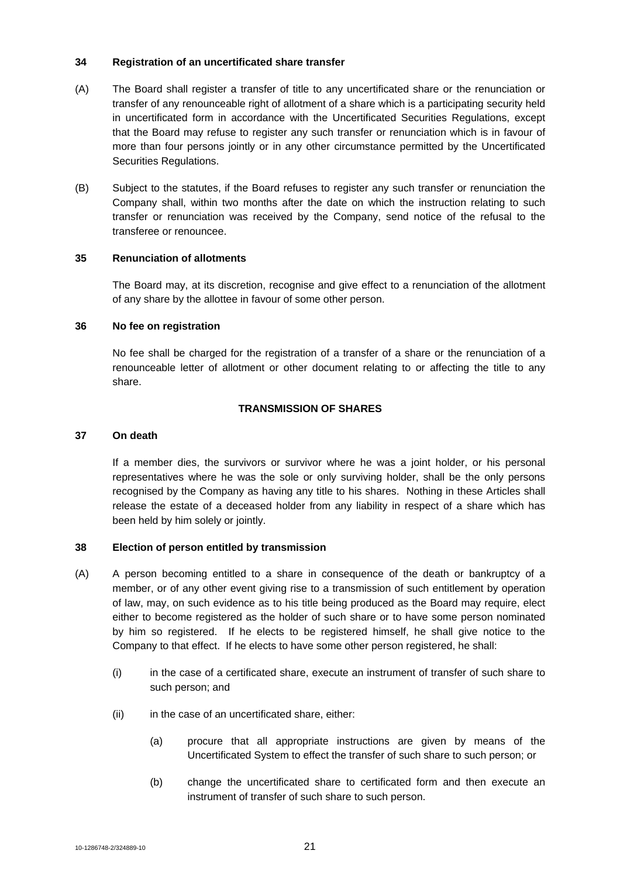### **34 Registration of an uncertificated share transfer**

- (A) The Board shall register a transfer of title to any uncertificated share or the renunciation or transfer of any renounceable right of allotment of a share which is a participating security held in uncertificated form in accordance with the Uncertificated Securities Regulations, except that the Board may refuse to register any such transfer or renunciation which is in favour of more than four persons jointly or in any other circumstance permitted by the Uncertificated Securities Regulations.
- (B) Subject to the statutes, if the Board refuses to register any such transfer or renunciation the Company shall, within two months after the date on which the instruction relating to such transfer or renunciation was received by the Company, send notice of the refusal to the transferee or renouncee.

#### **35 Renunciation of allotments**

The Board may, at its discretion, recognise and give effect to a renunciation of the allotment of any share by the allottee in favour of some other person.

#### **36 No fee on registration**

No fee shall be charged for the registration of a transfer of a share or the renunciation of a renounceable letter of allotment or other document relating to or affecting the title to any share.

# **TRANSMISSION OF SHARES**

#### **37 On death**

If a member dies, the survivors or survivor where he was a joint holder, or his personal representatives where he was the sole or only surviving holder, shall be the only persons recognised by the Company as having any title to his shares. Nothing in these Articles shall release the estate of a deceased holder from any liability in respect of a share which has been held by him solely or jointly.

#### **38 Election of person entitled by transmission**

- (A) A person becoming entitled to a share in consequence of the death or bankruptcy of a member, or of any other event giving rise to a transmission of such entitlement by operation of law, may, on such evidence as to his title being produced as the Board may require, elect either to become registered as the holder of such share or to have some person nominated by him so registered. If he elects to be registered himself, he shall give notice to the Company to that effect. If he elects to have some other person registered, he shall:
	- (i) in the case of a certificated share, execute an instrument of transfer of such share to such person; and
	- (ii) in the case of an uncertificated share, either:
		- (a) procure that all appropriate instructions are given by means of the Uncertificated System to effect the transfer of such share to such person; or
		- (b) change the uncertificated share to certificated form and then execute an instrument of transfer of such share to such person.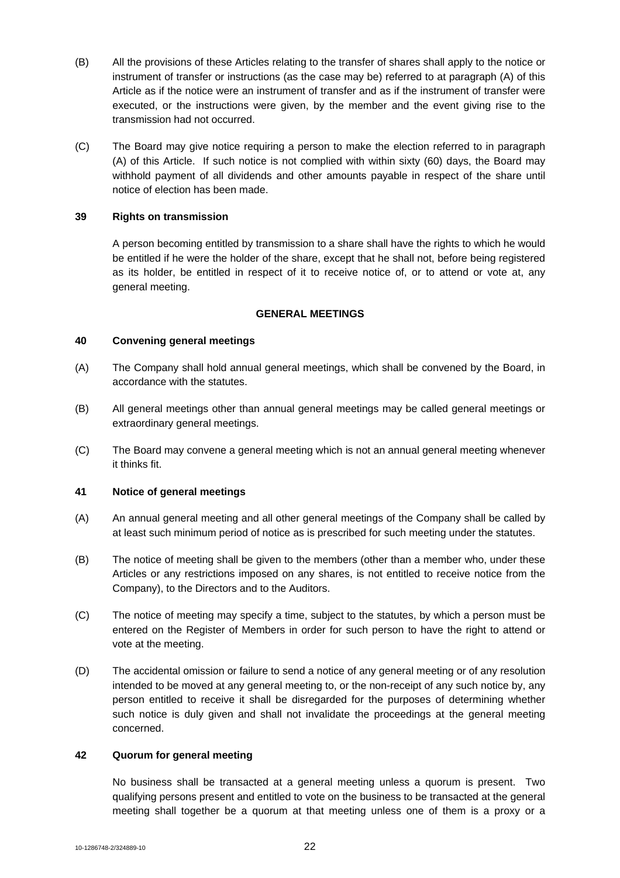- (B) All the provisions of these Articles relating to the transfer of shares shall apply to the notice or instrument of transfer or instructions (as the case may be) referred to at paragraph (A) of this Article as if the notice were an instrument of transfer and as if the instrument of transfer were executed, or the instructions were given, by the member and the event giving rise to the transmission had not occurred.
- (C) The Board may give notice requiring a person to make the election referred to in paragraph (A) of this Article. If such notice is not complied with within sixty (60) days, the Board may withhold payment of all dividends and other amounts payable in respect of the share until notice of election has been made.

### **39 Rights on transmission**

A person becoming entitled by transmission to a share shall have the rights to which he would be entitled if he were the holder of the share, except that he shall not, before being registered as its holder, be entitled in respect of it to receive notice of, or to attend or vote at, any general meeting.

#### **GENERAL MEETINGS**

# **40 Convening general meetings**

- (A) The Company shall hold annual general meetings, which shall be convened by the Board, in accordance with the statutes.
- (B) All general meetings other than annual general meetings may be called general meetings or extraordinary general meetings.
- (C) The Board may convene a general meeting which is not an annual general meeting whenever it thinks fit.

#### **41 Notice of general meetings**

- (A) An annual general meeting and all other general meetings of the Company shall be called by at least such minimum period of notice as is prescribed for such meeting under the statutes.
- (B) The notice of meeting shall be given to the members (other than a member who, under these Articles or any restrictions imposed on any shares, is not entitled to receive notice from the Company), to the Directors and to the Auditors.
- (C) The notice of meeting may specify a time, subject to the statutes, by which a person must be entered on the Register of Members in order for such person to have the right to attend or vote at the meeting.
- (D) The accidental omission or failure to send a notice of any general meeting or of any resolution intended to be moved at any general meeting to, or the non-receipt of any such notice by, any person entitled to receive it shall be disregarded for the purposes of determining whether such notice is duly given and shall not invalidate the proceedings at the general meeting concerned.

#### **42 Quorum for general meeting**

No business shall be transacted at a general meeting unless a quorum is present. Two qualifying persons present and entitled to vote on the business to be transacted at the general meeting shall together be a quorum at that meeting unless one of them is a proxy or a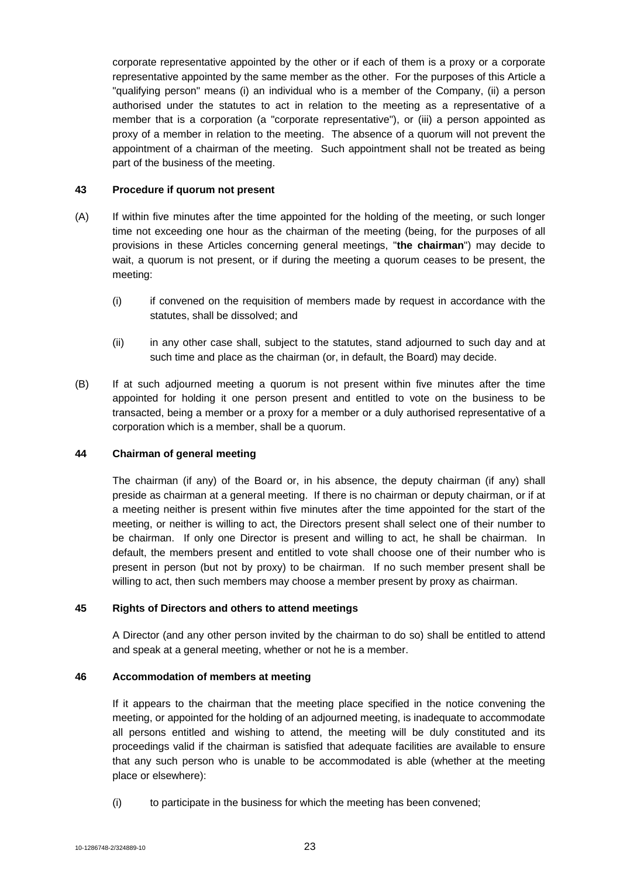corporate representative appointed by the other or if each of them is a proxy or a corporate representative appointed by the same member as the other. For the purposes of this Article a "qualifying person" means (i) an individual who is a member of the Company, (ii) a person authorised under the statutes to act in relation to the meeting as a representative of a member that is a corporation (a "corporate representative"), or (iii) a person appointed as proxy of a member in relation to the meeting. The absence of a quorum will not prevent the appointment of a chairman of the meeting. Such appointment shall not be treated as being part of the business of the meeting.

### **43 Procedure if quorum not present**

- (A) If within five minutes after the time appointed for the holding of the meeting, or such longer time not exceeding one hour as the chairman of the meeting (being, for the purposes of all provisions in these Articles concerning general meetings, "**the chairman**") may decide to wait, a quorum is not present, or if during the meeting a quorum ceases to be present, the meeting:
	- (i) if convened on the requisition of members made by request in accordance with the statutes, shall be dissolved; and
	- (ii) in any other case shall, subject to the statutes, stand adjourned to such day and at such time and place as the chairman (or, in default, the Board) may decide.
- (B) If at such adjourned meeting a quorum is not present within five minutes after the time appointed for holding it one person present and entitled to vote on the business to be transacted, being a member or a proxy for a member or a duly authorised representative of a corporation which is a member, shall be a quorum.

# **44 Chairman of general meeting**

The chairman (if any) of the Board or, in his absence, the deputy chairman (if any) shall preside as chairman at a general meeting. If there is no chairman or deputy chairman, or if at a meeting neither is present within five minutes after the time appointed for the start of the meeting, or neither is willing to act, the Directors present shall select one of their number to be chairman. If only one Director is present and willing to act, he shall be chairman. In default, the members present and entitled to vote shall choose one of their number who is present in person (but not by proxy) to be chairman. If no such member present shall be willing to act, then such members may choose a member present by proxy as chairman.

# **45 Rights of Directors and others to attend meetings**

A Director (and any other person invited by the chairman to do so) shall be entitled to attend and speak at a general meeting, whether or not he is a member.

# **46 Accommodation of members at meeting**

If it appears to the chairman that the meeting place specified in the notice convening the meeting, or appointed for the holding of an adjourned meeting, is inadequate to accommodate all persons entitled and wishing to attend, the meeting will be duly constituted and its proceedings valid if the chairman is satisfied that adequate facilities are available to ensure that any such person who is unable to be accommodated is able (whether at the meeting place or elsewhere):

(i) to participate in the business for which the meeting has been convened;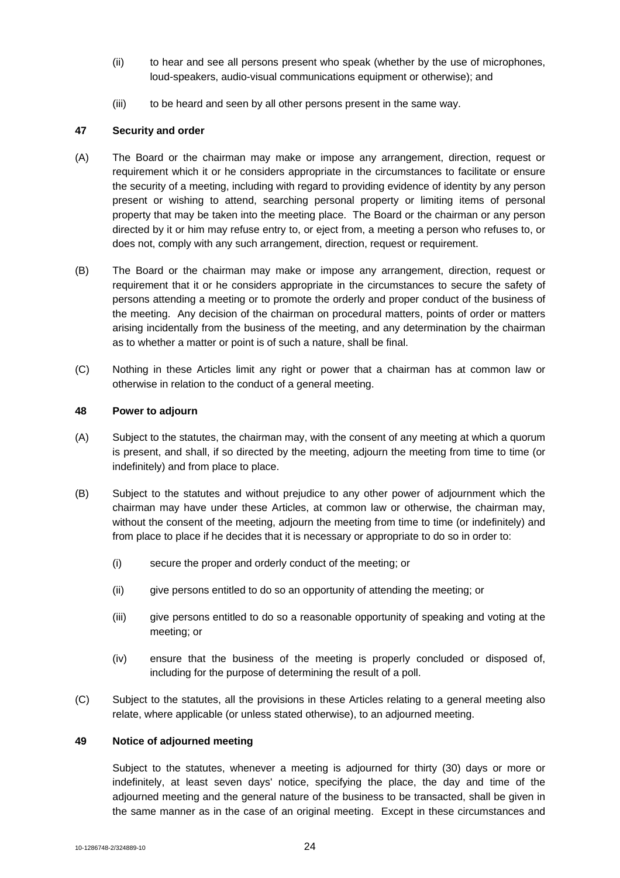- (ii) to hear and see all persons present who speak (whether by the use of microphones, loud-speakers, audio-visual communications equipment or otherwise); and
- (iii) to be heard and seen by all other persons present in the same way.

# **47 Security and order**

- (A) The Board or the chairman may make or impose any arrangement, direction, request or requirement which it or he considers appropriate in the circumstances to facilitate or ensure the security of a meeting, including with regard to providing evidence of identity by any person present or wishing to attend, searching personal property or limiting items of personal property that may be taken into the meeting place. The Board or the chairman or any person directed by it or him may refuse entry to, or eject from, a meeting a person who refuses to, or does not, comply with any such arrangement, direction, request or requirement.
- (B) The Board or the chairman may make or impose any arrangement, direction, request or requirement that it or he considers appropriate in the circumstances to secure the safety of persons attending a meeting or to promote the orderly and proper conduct of the business of the meeting. Any decision of the chairman on procedural matters, points of order or matters arising incidentally from the business of the meeting, and any determination by the chairman as to whether a matter or point is of such a nature, shall be final.
- (C) Nothing in these Articles limit any right or power that a chairman has at common law or otherwise in relation to the conduct of a general meeting.

#### **48 Power to adjourn**

- (A) Subject to the statutes, the chairman may, with the consent of any meeting at which a quorum is present, and shall, if so directed by the meeting, adjourn the meeting from time to time (or indefinitely) and from place to place.
- (B) Subject to the statutes and without prejudice to any other power of adjournment which the chairman may have under these Articles, at common law or otherwise, the chairman may, without the consent of the meeting, adjourn the meeting from time to time (or indefinitely) and from place to place if he decides that it is necessary or appropriate to do so in order to:
	- (i) secure the proper and orderly conduct of the meeting; or
	- (ii) give persons entitled to do so an opportunity of attending the meeting; or
	- (iii) give persons entitled to do so a reasonable opportunity of speaking and voting at the meeting; or
	- (iv) ensure that the business of the meeting is properly concluded or disposed of, including for the purpose of determining the result of a poll.
- (C) Subject to the statutes, all the provisions in these Articles relating to a general meeting also relate, where applicable (or unless stated otherwise), to an adjourned meeting.

# **49 Notice of adjourned meeting**

Subject to the statutes, whenever a meeting is adjourned for thirty (30) days or more or indefinitely, at least seven days' notice, specifying the place, the day and time of the adjourned meeting and the general nature of the business to be transacted, shall be given in the same manner as in the case of an original meeting. Except in these circumstances and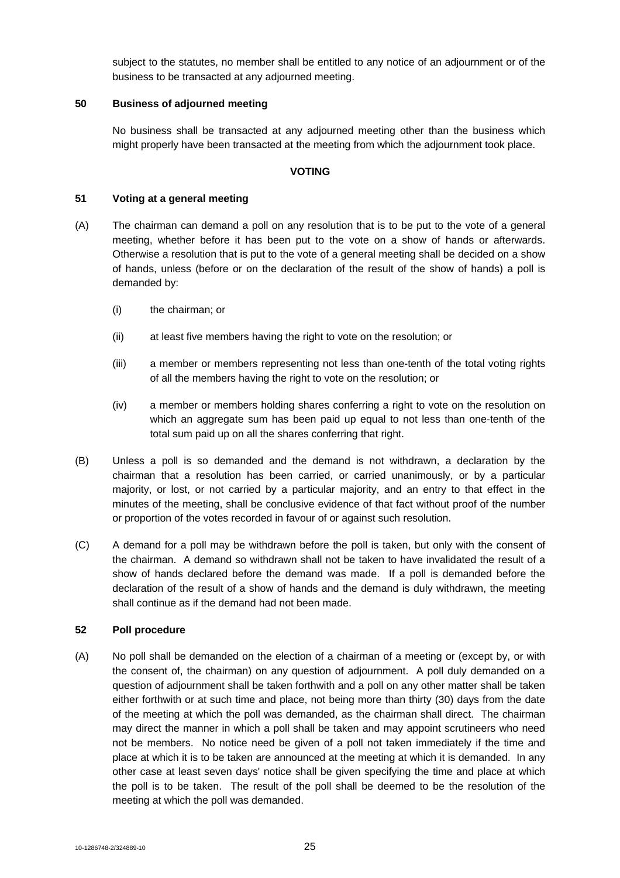subject to the statutes, no member shall be entitled to any notice of an adjournment or of the business to be transacted at any adjourned meeting.

### **50 Business of adjourned meeting**

No business shall be transacted at any adjourned meeting other than the business which might properly have been transacted at the meeting from which the adjournment took place.

#### **VOTING**

### **51 Voting at a general meeting**

- (A) The chairman can demand a poll on any resolution that is to be put to the vote of a general meeting, whether before it has been put to the vote on a show of hands or afterwards. Otherwise a resolution that is put to the vote of a general meeting shall be decided on a show of hands, unless (before or on the declaration of the result of the show of hands) a poll is demanded by:
	- (i) the chairman; or
	- (ii) at least five members having the right to vote on the resolution; or
	- (iii) a member or members representing not less than one-tenth of the total voting rights of all the members having the right to vote on the resolution; or
	- (iv) a member or members holding shares conferring a right to vote on the resolution on which an aggregate sum has been paid up equal to not less than one-tenth of the total sum paid up on all the shares conferring that right.
- (B) Unless a poll is so demanded and the demand is not withdrawn, a declaration by the chairman that a resolution has been carried, or carried unanimously, or by a particular majority, or lost, or not carried by a particular majority, and an entry to that effect in the minutes of the meeting, shall be conclusive evidence of that fact without proof of the number or proportion of the votes recorded in favour of or against such resolution.
- (C) A demand for a poll may be withdrawn before the poll is taken, but only with the consent of the chairman. A demand so withdrawn shall not be taken to have invalidated the result of a show of hands declared before the demand was made. If a poll is demanded before the declaration of the result of a show of hands and the demand is duly withdrawn, the meeting shall continue as if the demand had not been made.

#### **52 Poll procedure**

(A) No poll shall be demanded on the election of a chairman of a meeting or (except by, or with the consent of, the chairman) on any question of adjournment. A poll duly demanded on a question of adjournment shall be taken forthwith and a poll on any other matter shall be taken either forthwith or at such time and place, not being more than thirty (30) days from the date of the meeting at which the poll was demanded, as the chairman shall direct. The chairman may direct the manner in which a poll shall be taken and may appoint scrutineers who need not be members. No notice need be given of a poll not taken immediately if the time and place at which it is to be taken are announced at the meeting at which it is demanded. In any other case at least seven days' notice shall be given specifying the time and place at which the poll is to be taken. The result of the poll shall be deemed to be the resolution of the meeting at which the poll was demanded.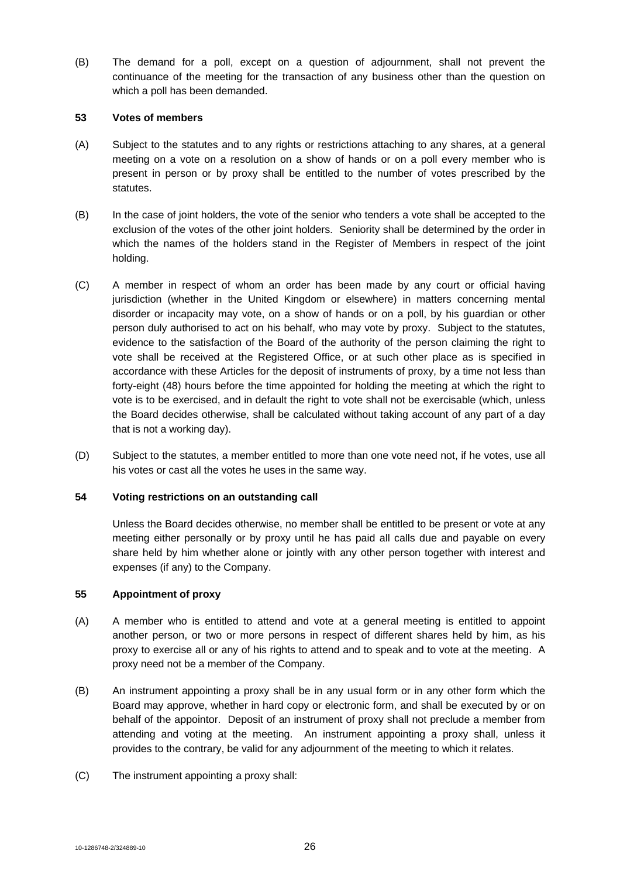(B) The demand for a poll, except on a question of adjournment, shall not prevent the continuance of the meeting for the transaction of any business other than the question on which a poll has been demanded.

### **53 Votes of members**

- (A) Subject to the statutes and to any rights or restrictions attaching to any shares, at a general meeting on a vote on a resolution on a show of hands or on a poll every member who is present in person or by proxy shall be entitled to the number of votes prescribed by the statutes.
- (B) In the case of joint holders, the vote of the senior who tenders a vote shall be accepted to the exclusion of the votes of the other joint holders. Seniority shall be determined by the order in which the names of the holders stand in the Register of Members in respect of the joint holding.
- (C) A member in respect of whom an order has been made by any court or official having jurisdiction (whether in the United Kingdom or elsewhere) in matters concerning mental disorder or incapacity may vote, on a show of hands or on a poll, by his guardian or other person duly authorised to act on his behalf, who may vote by proxy. Subject to the statutes, evidence to the satisfaction of the Board of the authority of the person claiming the right to vote shall be received at the Registered Office, or at such other place as is specified in accordance with these Articles for the deposit of instruments of proxy, by a time not less than forty-eight (48) hours before the time appointed for holding the meeting at which the right to vote is to be exercised, and in default the right to vote shall not be exercisable (which, unless the Board decides otherwise, shall be calculated without taking account of any part of a day that is not a working day).
- (D) Subject to the statutes, a member entitled to more than one vote need not, if he votes, use all his votes or cast all the votes he uses in the same way.

# **54 Voting restrictions on an outstanding call**

Unless the Board decides otherwise, no member shall be entitled to be present or vote at any meeting either personally or by proxy until he has paid all calls due and payable on every share held by him whether alone or jointly with any other person together with interest and expenses (if any) to the Company.

#### **55 Appointment of proxy**

- (A) A member who is entitled to attend and vote at a general meeting is entitled to appoint another person, or two or more persons in respect of different shares held by him, as his proxy to exercise all or any of his rights to attend and to speak and to vote at the meeting. A proxy need not be a member of the Company.
- (B) An instrument appointing a proxy shall be in any usual form or in any other form which the Board may approve, whether in hard copy or electronic form, and shall be executed by or on behalf of the appointor. Deposit of an instrument of proxy shall not preclude a member from attending and voting at the meeting. An instrument appointing a proxy shall, unless it provides to the contrary, be valid for any adjournment of the meeting to which it relates.
- (C) The instrument appointing a proxy shall: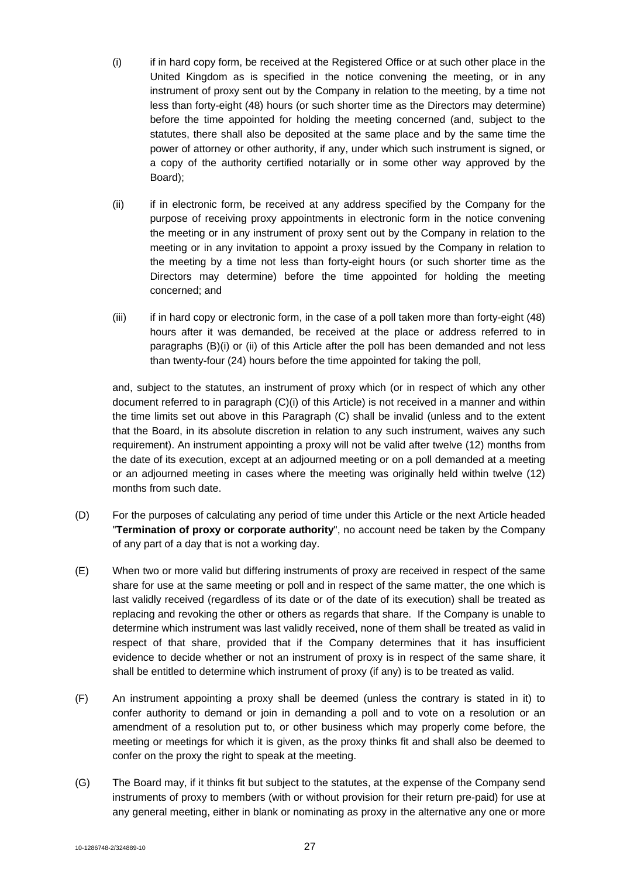- (i) if in hard copy form, be received at the Registered Office or at such other place in the United Kingdom as is specified in the notice convening the meeting, or in any instrument of proxy sent out by the Company in relation to the meeting, by a time not less than forty-eight (48) hours (or such shorter time as the Directors may determine) before the time appointed for holding the meeting concerned (and, subject to the statutes, there shall also be deposited at the same place and by the same time the power of attorney or other authority, if any, under which such instrument is signed, or a copy of the authority certified notarially or in some other way approved by the Board);
- (ii) if in electronic form, be received at any address specified by the Company for the purpose of receiving proxy appointments in electronic form in the notice convening the meeting or in any instrument of proxy sent out by the Company in relation to the meeting or in any invitation to appoint a proxy issued by the Company in relation to the meeting by a time not less than forty-eight hours (or such shorter time as the Directors may determine) before the time appointed for holding the meeting concerned; and
- (iii) if in hard copy or electronic form, in the case of a poll taken more than forty-eight (48) hours after it was demanded, be received at the place or address referred to in paragraphs (B)(i) or (ii) of this Article after the poll has been demanded and not less than twenty-four (24) hours before the time appointed for taking the poll,

and, subject to the statutes, an instrument of proxy which (or in respect of which any other document referred to in paragraph (C)(i) of this Article) is not received in a manner and within the time limits set out above in this Paragraph (C) shall be invalid (unless and to the extent that the Board, in its absolute discretion in relation to any such instrument, waives any such requirement). An instrument appointing a proxy will not be valid after twelve (12) months from the date of its execution, except at an adjourned meeting or on a poll demanded at a meeting or an adjourned meeting in cases where the meeting was originally held within twelve (12) months from such date.

- (D) For the purposes of calculating any period of time under this Article or the next Article headed "**Termination of proxy or corporate authority**", no account need be taken by the Company of any part of a day that is not a working day.
- (E) When two or more valid but differing instruments of proxy are received in respect of the same share for use at the same meeting or poll and in respect of the same matter, the one which is last validly received (regardless of its date or of the date of its execution) shall be treated as replacing and revoking the other or others as regards that share. If the Company is unable to determine which instrument was last validly received, none of them shall be treated as valid in respect of that share, provided that if the Company determines that it has insufficient evidence to decide whether or not an instrument of proxy is in respect of the same share, it shall be entitled to determine which instrument of proxy (if any) is to be treated as valid.
- (F) An instrument appointing a proxy shall be deemed (unless the contrary is stated in it) to confer authority to demand or join in demanding a poll and to vote on a resolution or an amendment of a resolution put to, or other business which may properly come before, the meeting or meetings for which it is given, as the proxy thinks fit and shall also be deemed to confer on the proxy the right to speak at the meeting.
- (G) The Board may, if it thinks fit but subject to the statutes, at the expense of the Company send instruments of proxy to members (with or without provision for their return pre-paid) for use at any general meeting, either in blank or nominating as proxy in the alternative any one or more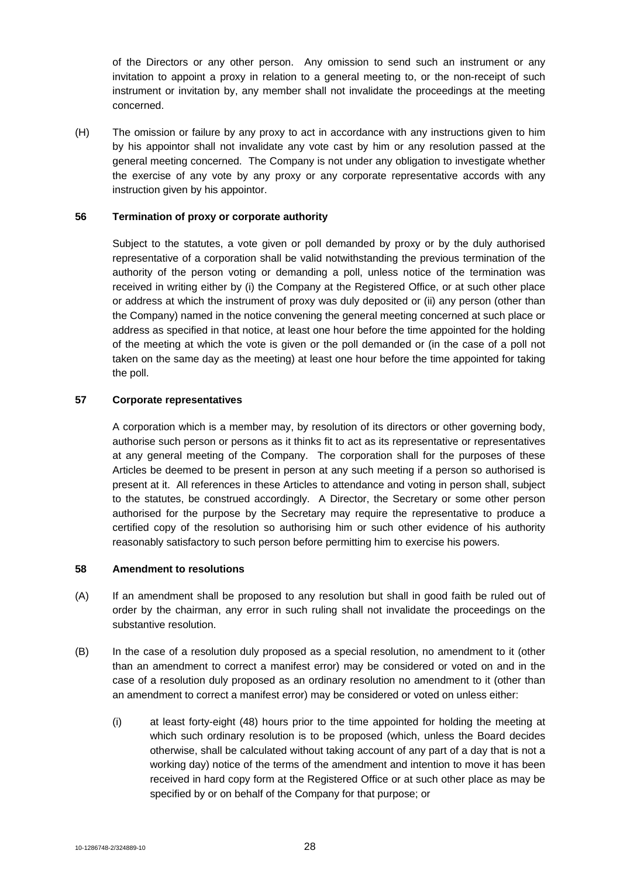of the Directors or any other person. Any omission to send such an instrument or any invitation to appoint a proxy in relation to a general meeting to, or the non-receipt of such instrument or invitation by, any member shall not invalidate the proceedings at the meeting concerned.

(H) The omission or failure by any proxy to act in accordance with any instructions given to him by his appointor shall not invalidate any vote cast by him or any resolution passed at the general meeting concerned. The Company is not under any obligation to investigate whether the exercise of any vote by any proxy or any corporate representative accords with any instruction given by his appointor.

### **56 Termination of proxy or corporate authority**

Subject to the statutes, a vote given or poll demanded by proxy or by the duly authorised representative of a corporation shall be valid notwithstanding the previous termination of the authority of the person voting or demanding a poll, unless notice of the termination was received in writing either by (i) the Company at the Registered Office, or at such other place or address at which the instrument of proxy was duly deposited or (ii) any person (other than the Company) named in the notice convening the general meeting concerned at such place or address as specified in that notice, at least one hour before the time appointed for the holding of the meeting at which the vote is given or the poll demanded or (in the case of a poll not taken on the same day as the meeting) at least one hour before the time appointed for taking the poll.

#### **57 Corporate representatives**

A corporation which is a member may, by resolution of its directors or other governing body, authorise such person or persons as it thinks fit to act as its representative or representatives at any general meeting of the Company. The corporation shall for the purposes of these Articles be deemed to be present in person at any such meeting if a person so authorised is present at it. All references in these Articles to attendance and voting in person shall, subject to the statutes, be construed accordingly. A Director, the Secretary or some other person authorised for the purpose by the Secretary may require the representative to produce a certified copy of the resolution so authorising him or such other evidence of his authority reasonably satisfactory to such person before permitting him to exercise his powers.

#### **58 Amendment to resolutions**

- (A) If an amendment shall be proposed to any resolution but shall in good faith be ruled out of order by the chairman, any error in such ruling shall not invalidate the proceedings on the substantive resolution.
- (B) In the case of a resolution duly proposed as a special resolution, no amendment to it (other than an amendment to correct a manifest error) may be considered or voted on and in the case of a resolution duly proposed as an ordinary resolution no amendment to it (other than an amendment to correct a manifest error) may be considered or voted on unless either:
	- (i) at least forty-eight (48) hours prior to the time appointed for holding the meeting at which such ordinary resolution is to be proposed (which, unless the Board decides otherwise, shall be calculated without taking account of any part of a day that is not a working day) notice of the terms of the amendment and intention to move it has been received in hard copy form at the Registered Office or at such other place as may be specified by or on behalf of the Company for that purpose; or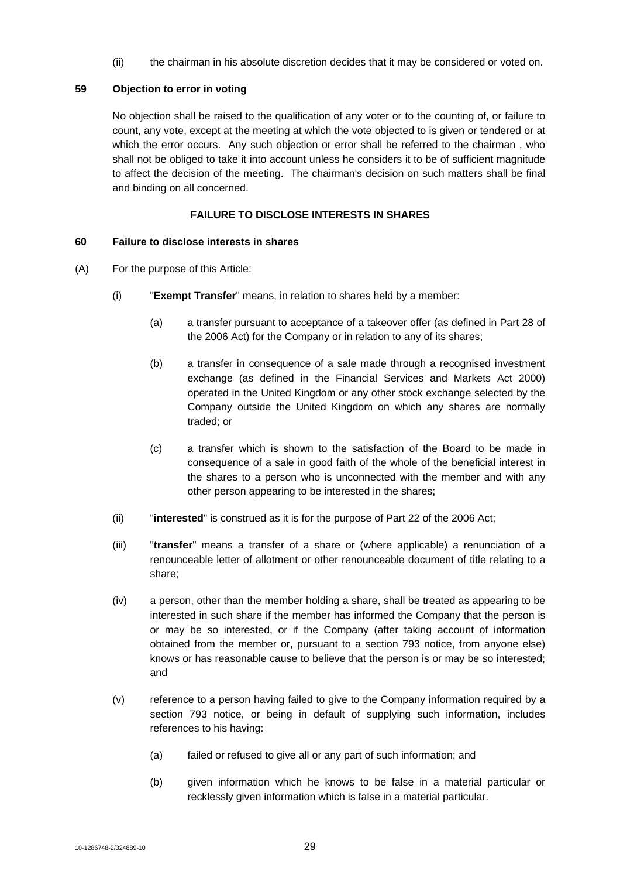(ii) the chairman in his absolute discretion decides that it may be considered or voted on.

# **59 Objection to error in voting**

No objection shall be raised to the qualification of any voter or to the counting of, or failure to count, any vote, except at the meeting at which the vote objected to is given or tendered or at which the error occurs. Any such objection or error shall be referred to the chairman , who shall not be obliged to take it into account unless he considers it to be of sufficient magnitude to affect the decision of the meeting. The chairman's decision on such matters shall be final and binding on all concerned.

# **FAILURE TO DISCLOSE INTERESTS IN SHARES**

# **60 Failure to disclose interests in shares**

- (A) For the purpose of this Article:
	- (i) "**Exempt Transfer**" means, in relation to shares held by a member:
		- (a) a transfer pursuant to acceptance of a takeover offer (as defined in Part 28 of the 2006 Act) for the Company or in relation to any of its shares;
		- (b) a transfer in consequence of a sale made through a recognised investment exchange (as defined in the Financial Services and Markets Act 2000) operated in the United Kingdom or any other stock exchange selected by the Company outside the United Kingdom on which any shares are normally traded; or
		- (c) a transfer which is shown to the satisfaction of the Board to be made in consequence of a sale in good faith of the whole of the beneficial interest in the shares to a person who is unconnected with the member and with any other person appearing to be interested in the shares;
	- (ii) "**interested**" is construed as it is for the purpose of Part 22 of the 2006 Act;
	- (iii) "**transfer**" means a transfer of a share or (where applicable) a renunciation of a renounceable letter of allotment or other renounceable document of title relating to a share;
	- (iv) a person, other than the member holding a share, shall be treated as appearing to be interested in such share if the member has informed the Company that the person is or may be so interested, or if the Company (after taking account of information obtained from the member or, pursuant to a section 793 notice, from anyone else) knows or has reasonable cause to believe that the person is or may be so interested; and
	- (v) reference to a person having failed to give to the Company information required by a section 793 notice, or being in default of supplying such information, includes references to his having:
		- (a) failed or refused to give all or any part of such information; and
		- (b) given information which he knows to be false in a material particular or recklessly given information which is false in a material particular.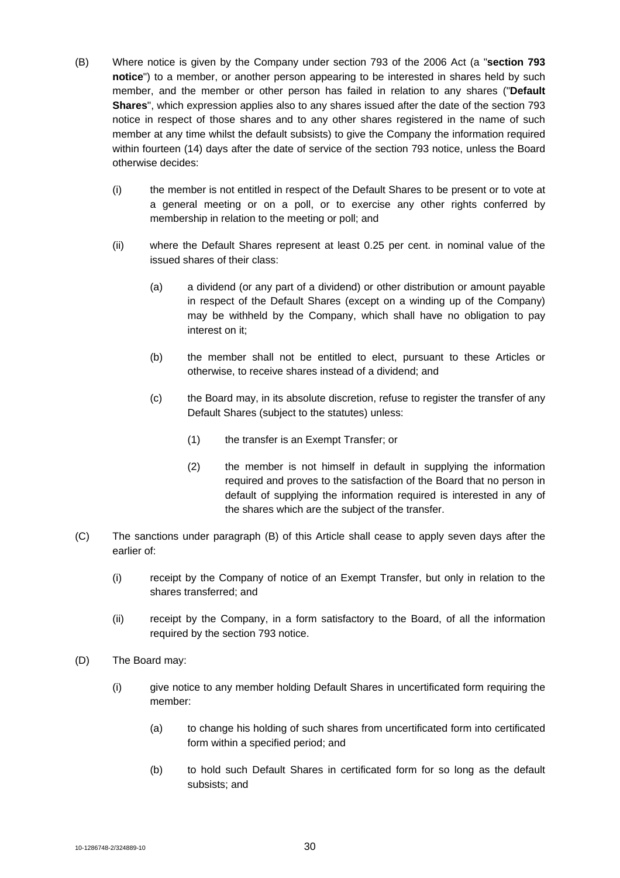- (B) Where notice is given by the Company under section 793 of the 2006 Act (a "**section 793 notice**") to a member, or another person appearing to be interested in shares held by such member, and the member or other person has failed in relation to any shares ("**Default Shares**", which expression applies also to any shares issued after the date of the section 793 notice in respect of those shares and to any other shares registered in the name of such member at any time whilst the default subsists) to give the Company the information required within fourteen (14) days after the date of service of the section 793 notice, unless the Board otherwise decides:
	- (i) the member is not entitled in respect of the Default Shares to be present or to vote at a general meeting or on a poll, or to exercise any other rights conferred by membership in relation to the meeting or poll; and
	- (ii) where the Default Shares represent at least 0.25 per cent. in nominal value of the issued shares of their class:
		- (a) a dividend (or any part of a dividend) or other distribution or amount payable in respect of the Default Shares (except on a winding up of the Company) may be withheld by the Company, which shall have no obligation to pay interest on it;
		- (b) the member shall not be entitled to elect, pursuant to these Articles or otherwise, to receive shares instead of a dividend; and
		- (c) the Board may, in its absolute discretion, refuse to register the transfer of any Default Shares (subject to the statutes) unless:
			- (1) the transfer is an Exempt Transfer; or
			- (2) the member is not himself in default in supplying the information required and proves to the satisfaction of the Board that no person in default of supplying the information required is interested in any of the shares which are the subject of the transfer.
- (C) The sanctions under paragraph (B) of this Article shall cease to apply seven days after the earlier of:
	- (i) receipt by the Company of notice of an Exempt Transfer, but only in relation to the shares transferred; and
	- (ii) receipt by the Company, in a form satisfactory to the Board, of all the information required by the section 793 notice.
- (D) The Board may:
	- (i) give notice to any member holding Default Shares in uncertificated form requiring the member:
		- (a) to change his holding of such shares from uncertificated form into certificated form within a specified period; and
		- (b) to hold such Default Shares in certificated form for so long as the default subsists; and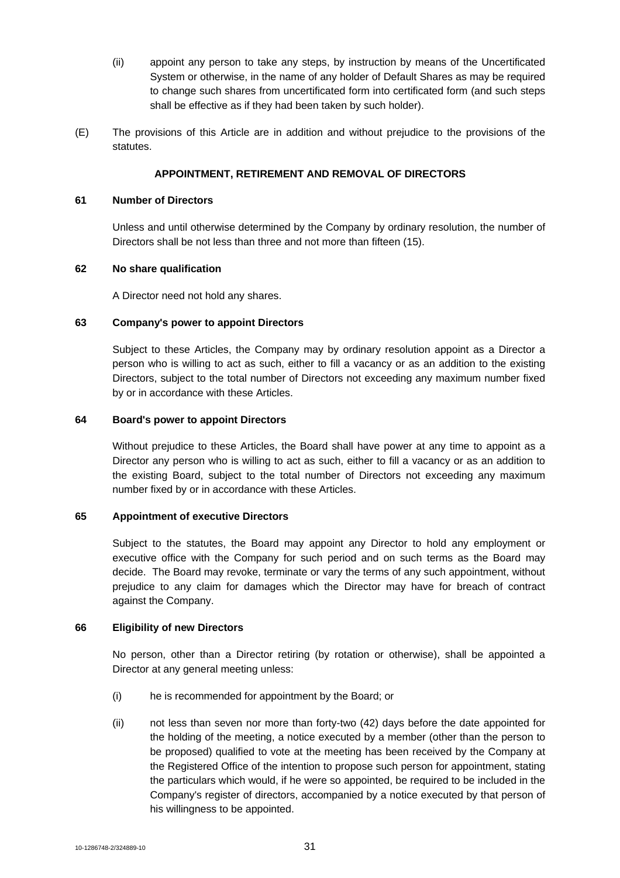- (ii) appoint any person to take any steps, by instruction by means of the Uncertificated System or otherwise, in the name of any holder of Default Shares as may be required to change such shares from uncertificated form into certificated form (and such steps shall be effective as if they had been taken by such holder).
- (E) The provisions of this Article are in addition and without prejudice to the provisions of the statutes.

# **APPOINTMENT, RETIREMENT AND REMOVAL OF DIRECTORS**

### **61 Number of Directors**

Unless and until otherwise determined by the Company by ordinary resolution, the number of Directors shall be not less than three and not more than fifteen (15).

### **62 No share qualification**

A Director need not hold any shares.

#### **63 Company's power to appoint Directors**

Subject to these Articles, the Company may by ordinary resolution appoint as a Director a person who is willing to act as such, either to fill a vacancy or as an addition to the existing Directors, subject to the total number of Directors not exceeding any maximum number fixed by or in accordance with these Articles.

# **64 Board's power to appoint Directors**

Without prejudice to these Articles, the Board shall have power at any time to appoint as a Director any person who is willing to act as such, either to fill a vacancy or as an addition to the existing Board, subject to the total number of Directors not exceeding any maximum number fixed by or in accordance with these Articles.

#### **65 Appointment of executive Directors**

Subject to the statutes, the Board may appoint any Director to hold any employment or executive office with the Company for such period and on such terms as the Board may decide. The Board may revoke, terminate or vary the terms of any such appointment, without prejudice to any claim for damages which the Director may have for breach of contract against the Company.

#### **66 Eligibility of new Directors**

No person, other than a Director retiring (by rotation or otherwise), shall be appointed a Director at any general meeting unless:

- (i) he is recommended for appointment by the Board; or
- (ii) not less than seven nor more than forty-two (42) days before the date appointed for the holding of the meeting, a notice executed by a member (other than the person to be proposed) qualified to vote at the meeting has been received by the Company at the Registered Office of the intention to propose such person for appointment, stating the particulars which would, if he were so appointed, be required to be included in the Company's register of directors, accompanied by a notice executed by that person of his willingness to be appointed.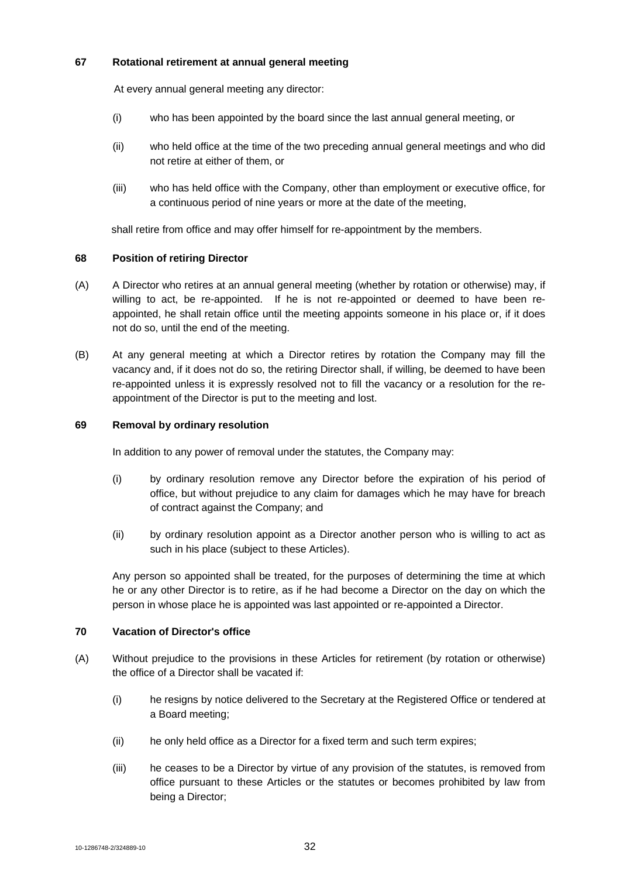# **67 Rotational retirement at annual general meeting**

At every annual general meeting any director:

- (i) who has been appointed by the board since the last annual general meeting, or
- (ii) who held office at the time of the two preceding annual general meetings and who did not retire at either of them, or
- (iii) who has held office with the Company, other than employment or executive office, for a continuous period of nine years or more at the date of the meeting,

shall retire from office and may offer himself for re-appointment by the members.

# **68 Position of retiring Director**

- (A) A Director who retires at an annual general meeting (whether by rotation or otherwise) may, if willing to act, be re-appointed. If he is not re-appointed or deemed to have been reappointed, he shall retain office until the meeting appoints someone in his place or, if it does not do so, until the end of the meeting.
- (B) At any general meeting at which a Director retires by rotation the Company may fill the vacancy and, if it does not do so, the retiring Director shall, if willing, be deemed to have been re-appointed unless it is expressly resolved not to fill the vacancy or a resolution for the reappointment of the Director is put to the meeting and lost.

# **69 Removal by ordinary resolution**

In addition to any power of removal under the statutes, the Company may:

- (i) by ordinary resolution remove any Director before the expiration of his period of office, but without prejudice to any claim for damages which he may have for breach of contract against the Company; and
- (ii) by ordinary resolution appoint as a Director another person who is willing to act as such in his place (subject to these Articles).

Any person so appointed shall be treated, for the purposes of determining the time at which he or any other Director is to retire, as if he had become a Director on the day on which the person in whose place he is appointed was last appointed or re-appointed a Director.

# **70 Vacation of Director's office**

- (A) Without prejudice to the provisions in these Articles for retirement (by rotation or otherwise) the office of a Director shall be vacated if:
	- (i) he resigns by notice delivered to the Secretary at the Registered Office or tendered at a Board meeting;
	- (ii) he only held office as a Director for a fixed term and such term expires;
	- (iii) he ceases to be a Director by virtue of any provision of the statutes, is removed from office pursuant to these Articles or the statutes or becomes prohibited by law from being a Director;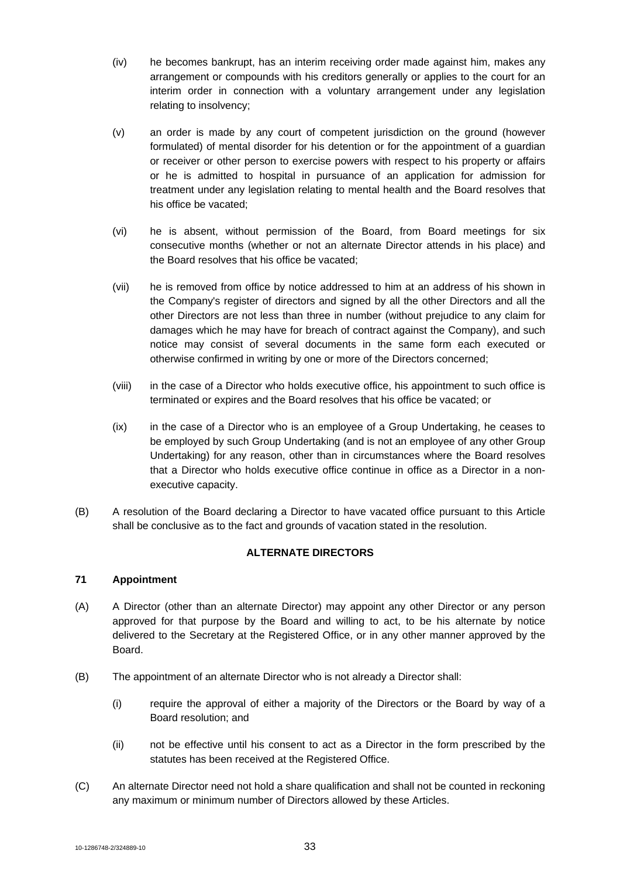- (iv) he becomes bankrupt, has an interim receiving order made against him, makes any arrangement or compounds with his creditors generally or applies to the court for an interim order in connection with a voluntary arrangement under any legislation relating to insolvency;
- (v) an order is made by any court of competent jurisdiction on the ground (however formulated) of mental disorder for his detention or for the appointment of a guardian or receiver or other person to exercise powers with respect to his property or affairs or he is admitted to hospital in pursuance of an application for admission for treatment under any legislation relating to mental health and the Board resolves that his office be vacated;
- (vi) he is absent, without permission of the Board, from Board meetings for six consecutive months (whether or not an alternate Director attends in his place) and the Board resolves that his office be vacated;
- (vii) he is removed from office by notice addressed to him at an address of his shown in the Company's register of directors and signed by all the other Directors and all the other Directors are not less than three in number (without prejudice to any claim for damages which he may have for breach of contract against the Company), and such notice may consist of several documents in the same form each executed or otherwise confirmed in writing by one or more of the Directors concerned;
- (viii) in the case of a Director who holds executive office, his appointment to such office is terminated or expires and the Board resolves that his office be vacated; or
- (ix) in the case of a Director who is an employee of a Group Undertaking, he ceases to be employed by such Group Undertaking (and is not an employee of any other Group Undertaking) for any reason, other than in circumstances where the Board resolves that a Director who holds executive office continue in office as a Director in a nonexecutive capacity.
- (B) A resolution of the Board declaring a Director to have vacated office pursuant to this Article shall be conclusive as to the fact and grounds of vacation stated in the resolution.

# **ALTERNATE DIRECTORS**

# **71 Appointment**

- (A) A Director (other than an alternate Director) may appoint any other Director or any person approved for that purpose by the Board and willing to act, to be his alternate by notice delivered to the Secretary at the Registered Office, or in any other manner approved by the Board.
- (B) The appointment of an alternate Director who is not already a Director shall:
	- (i) require the approval of either a majority of the Directors or the Board by way of a Board resolution; and
	- (ii) not be effective until his consent to act as a Director in the form prescribed by the statutes has been received at the Registered Office.
- (C) An alternate Director need not hold a share qualification and shall not be counted in reckoning any maximum or minimum number of Directors allowed by these Articles.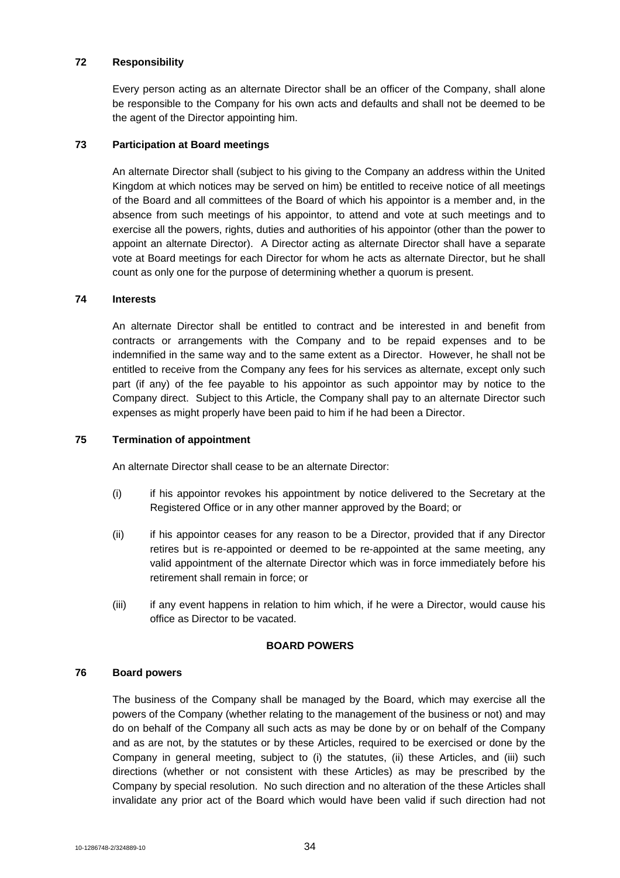### **72 Responsibility**

Every person acting as an alternate Director shall be an officer of the Company, shall alone be responsible to the Company for his own acts and defaults and shall not be deemed to be the agent of the Director appointing him.

### **73 Participation at Board meetings**

An alternate Director shall (subject to his giving to the Company an address within the United Kingdom at which notices may be served on him) be entitled to receive notice of all meetings of the Board and all committees of the Board of which his appointor is a member and, in the absence from such meetings of his appointor, to attend and vote at such meetings and to exercise all the powers, rights, duties and authorities of his appointor (other than the power to appoint an alternate Director). A Director acting as alternate Director shall have a separate vote at Board meetings for each Director for whom he acts as alternate Director, but he shall count as only one for the purpose of determining whether a quorum is present.

#### **74 Interests**

An alternate Director shall be entitled to contract and be interested in and benefit from contracts or arrangements with the Company and to be repaid expenses and to be indemnified in the same way and to the same extent as a Director. However, he shall not be entitled to receive from the Company any fees for his services as alternate, except only such part (if any) of the fee payable to his appointor as such appointor may by notice to the Company direct. Subject to this Article, the Company shall pay to an alternate Director such expenses as might properly have been paid to him if he had been a Director.

### **75 Termination of appointment**

An alternate Director shall cease to be an alternate Director:

- (i) if his appointor revokes his appointment by notice delivered to the Secretary at the Registered Office or in any other manner approved by the Board; or
- (ii) if his appointor ceases for any reason to be a Director, provided that if any Director retires but is re-appointed or deemed to be re-appointed at the same meeting, any valid appointment of the alternate Director which was in force immediately before his retirement shall remain in force; or
- (iii) if any event happens in relation to him which, if he were a Director, would cause his office as Director to be vacated.

#### **BOARD POWERS**

### **76 Board powers**

The business of the Company shall be managed by the Board, which may exercise all the powers of the Company (whether relating to the management of the business or not) and may do on behalf of the Company all such acts as may be done by or on behalf of the Company and as are not, by the statutes or by these Articles, required to be exercised or done by the Company in general meeting, subject to (i) the statutes, (ii) these Articles, and (iii) such directions (whether or not consistent with these Articles) as may be prescribed by the Company by special resolution. No such direction and no alteration of the these Articles shall invalidate any prior act of the Board which would have been valid if such direction had not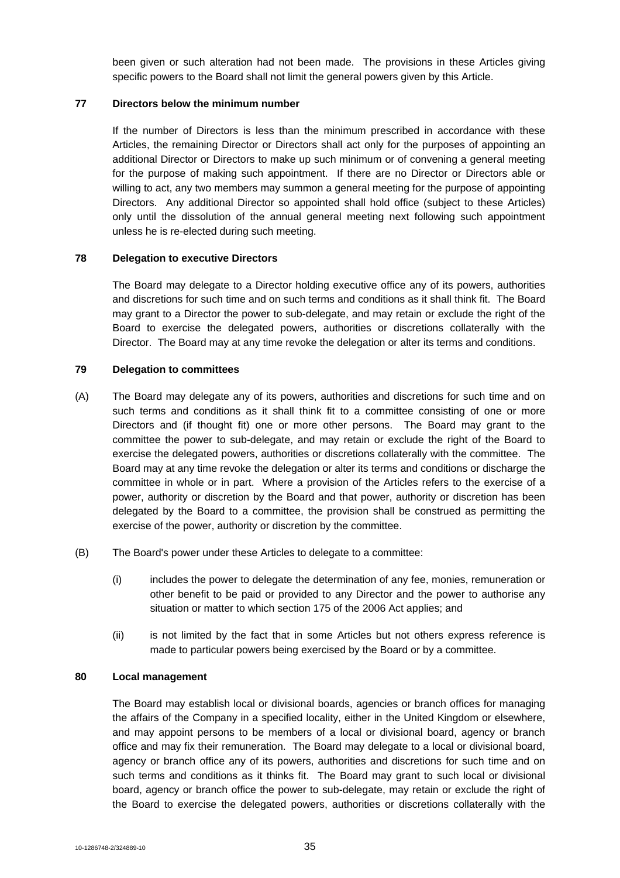been given or such alteration had not been made. The provisions in these Articles giving specific powers to the Board shall not limit the general powers given by this Article.

### **77 Directors below the minimum number**

If the number of Directors is less than the minimum prescribed in accordance with these Articles, the remaining Director or Directors shall act only for the purposes of appointing an additional Director or Directors to make up such minimum or of convening a general meeting for the purpose of making such appointment. If there are no Director or Directors able or willing to act, any two members may summon a general meeting for the purpose of appointing Directors. Any additional Director so appointed shall hold office (subject to these Articles) only until the dissolution of the annual general meeting next following such appointment unless he is re-elected during such meeting.

#### **78 Delegation to executive Directors**

The Board may delegate to a Director holding executive office any of its powers, authorities and discretions for such time and on such terms and conditions as it shall think fit. The Board may grant to a Director the power to sub-delegate, and may retain or exclude the right of the Board to exercise the delegated powers, authorities or discretions collaterally with the Director. The Board may at any time revoke the delegation or alter its terms and conditions.

#### **79 Delegation to committees**

- (A) The Board may delegate any of its powers, authorities and discretions for such time and on such terms and conditions as it shall think fit to a committee consisting of one or more Directors and (if thought fit) one or more other persons. The Board may grant to the committee the power to sub-delegate, and may retain or exclude the right of the Board to exercise the delegated powers, authorities or discretions collaterally with the committee. The Board may at any time revoke the delegation or alter its terms and conditions or discharge the committee in whole or in part. Where a provision of the Articles refers to the exercise of a power, authority or discretion by the Board and that power, authority or discretion has been delegated by the Board to a committee, the provision shall be construed as permitting the exercise of the power, authority or discretion by the committee.
- (B) The Board's power under these Articles to delegate to a committee:
	- (i) includes the power to delegate the determination of any fee, monies, remuneration or other benefit to be paid or provided to any Director and the power to authorise any situation or matter to which section 175 of the 2006 Act applies; and
	- (ii) is not limited by the fact that in some Articles but not others express reference is made to particular powers being exercised by the Board or by a committee.

#### **80 Local management**

The Board may establish local or divisional boards, agencies or branch offices for managing the affairs of the Company in a specified locality, either in the United Kingdom or elsewhere, and may appoint persons to be members of a local or divisional board, agency or branch office and may fix their remuneration. The Board may delegate to a local or divisional board, agency or branch office any of its powers, authorities and discretions for such time and on such terms and conditions as it thinks fit. The Board may grant to such local or divisional board, agency or branch office the power to sub-delegate, may retain or exclude the right of the Board to exercise the delegated powers, authorities or discretions collaterally with the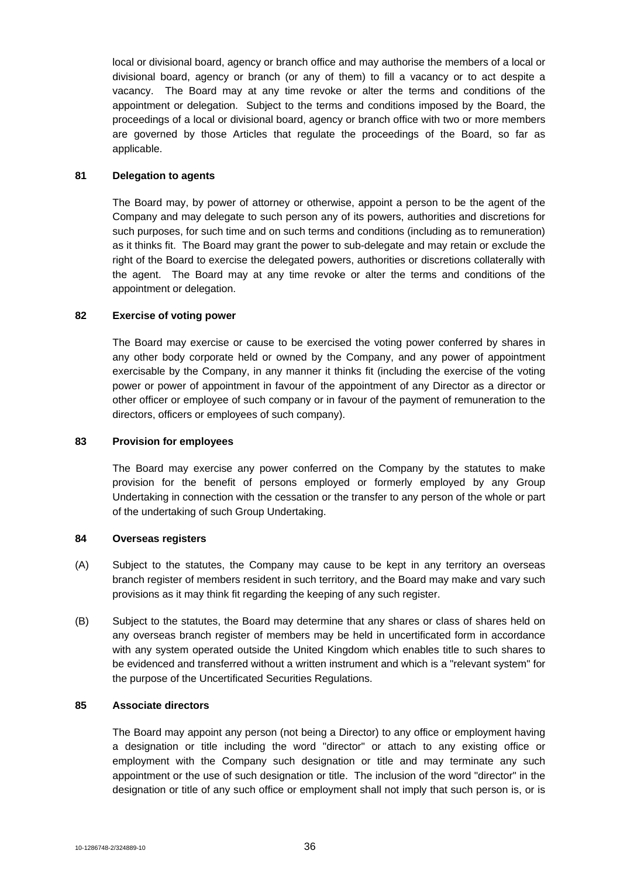local or divisional board, agency or branch office and may authorise the members of a local or divisional board, agency or branch (or any of them) to fill a vacancy or to act despite a vacancy. The Board may at any time revoke or alter the terms and conditions of the appointment or delegation. Subject to the terms and conditions imposed by the Board, the proceedings of a local or divisional board, agency or branch office with two or more members are governed by those Articles that regulate the proceedings of the Board, so far as applicable.

#### **81 Delegation to agents**

The Board may, by power of attorney or otherwise, appoint a person to be the agent of the Company and may delegate to such person any of its powers, authorities and discretions for such purposes, for such time and on such terms and conditions (including as to remuneration) as it thinks fit. The Board may grant the power to sub-delegate and may retain or exclude the right of the Board to exercise the delegated powers, authorities or discretions collaterally with the agent. The Board may at any time revoke or alter the terms and conditions of the appointment or delegation.

## **82 Exercise of voting power**

The Board may exercise or cause to be exercised the voting power conferred by shares in any other body corporate held or owned by the Company, and any power of appointment exercisable by the Company, in any manner it thinks fit (including the exercise of the voting power or power of appointment in favour of the appointment of any Director as a director or other officer or employee of such company or in favour of the payment of remuneration to the directors, officers or employees of such company).

#### **83 Provision for employees**

The Board may exercise any power conferred on the Company by the statutes to make provision for the benefit of persons employed or formerly employed by any Group Undertaking in connection with the cessation or the transfer to any person of the whole or part of the undertaking of such Group Undertaking.

#### **84 Overseas registers**

- (A) Subject to the statutes, the Company may cause to be kept in any territory an overseas branch register of members resident in such territory, and the Board may make and vary such provisions as it may think fit regarding the keeping of any such register.
- (B) Subject to the statutes, the Board may determine that any shares or class of shares held on any overseas branch register of members may be held in uncertificated form in accordance with any system operated outside the United Kingdom which enables title to such shares to be evidenced and transferred without a written instrument and which is a "relevant system" for the purpose of the Uncertificated Securities Regulations.

#### **85 Associate directors**

The Board may appoint any person (not being a Director) to any office or employment having a designation or title including the word "director" or attach to any existing office or employment with the Company such designation or title and may terminate any such appointment or the use of such designation or title. The inclusion of the word "director" in the designation or title of any such office or employment shall not imply that such person is, or is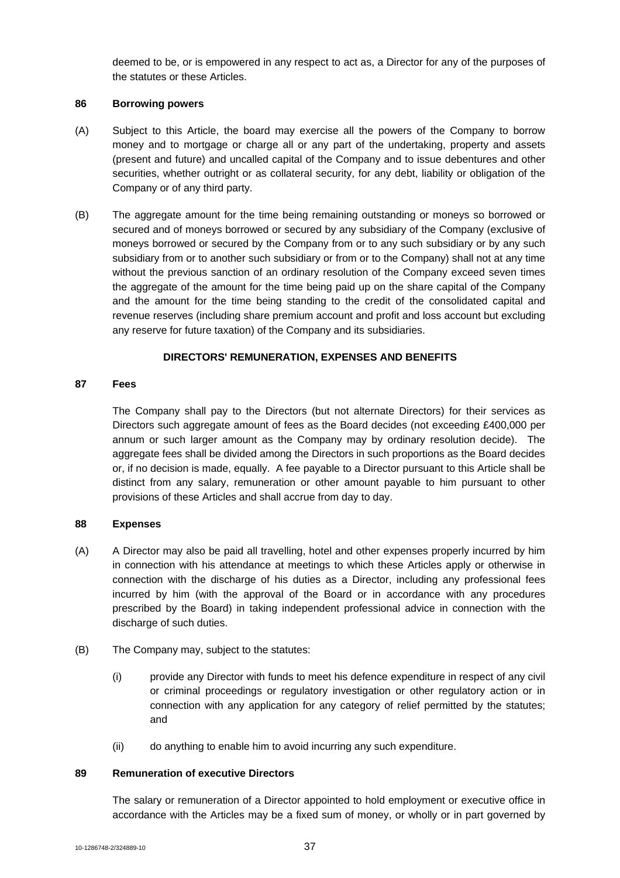deemed to be, or is empowered in any respect to act as, a Director for any of the purposes of the statutes or these Articles.

#### **86 Borrowing powers**

- (A) Subject to this Article, the board may exercise all the powers of the Company to borrow money and to mortgage or charge all or any part of the undertaking, property and assets (present and future) and uncalled capital of the Company and to issue debentures and other securities, whether outright or as collateral security, for any debt, liability or obligation of the Company or of any third party.
- (B) The aggregate amount for the time being remaining outstanding or moneys so borrowed or secured and of moneys borrowed or secured by any subsidiary of the Company (exclusive of moneys borrowed or secured by the Company from or to any such subsidiary or by any such subsidiary from or to another such subsidiary or from or to the Company) shall not at any time without the previous sanction of an ordinary resolution of the Company exceed seven times the aggregate of the amount for the time being paid up on the share capital of the Company and the amount for the time being standing to the credit of the consolidated capital and revenue reserves (including share premium account and profit and loss account but excluding any reserve for future taxation) of the Company and its subsidiaries.

# **DIRECTORS' REMUNERATION, EXPENSES AND BENEFITS**

#### **87 Fees**

The Company shall pay to the Directors (but not alternate Directors) for their services as Directors such aggregate amount of fees as the Board decides (not exceeding £400,000 per annum or such larger amount as the Company may by ordinary resolution decide). The aggregate fees shall be divided among the Directors in such proportions as the Board decides or, if no decision is made, equally. A fee payable to a Director pursuant to this Article shall be distinct from any salary, remuneration or other amount payable to him pursuant to other provisions of these Articles and shall accrue from day to day.

# **88 Expenses**

- (A) A Director may also be paid all travelling, hotel and other expenses properly incurred by him in connection with his attendance at meetings to which these Articles apply or otherwise in connection with the discharge of his duties as a Director, including any professional fees incurred by him (with the approval of the Board or in accordance with any procedures prescribed by the Board) in taking independent professional advice in connection with the discharge of such duties.
- (B) The Company may, subject to the statutes:
	- (i) provide any Director with funds to meet his defence expenditure in respect of any civil or criminal proceedings or regulatory investigation or other regulatory action or in connection with any application for any category of relief permitted by the statutes; and
	- (ii) do anything to enable him to avoid incurring any such expenditure.

#### **89 Remuneration of executive Directors**

The salary or remuneration of a Director appointed to hold employment or executive office in accordance with the Articles may be a fixed sum of money, or wholly or in part governed by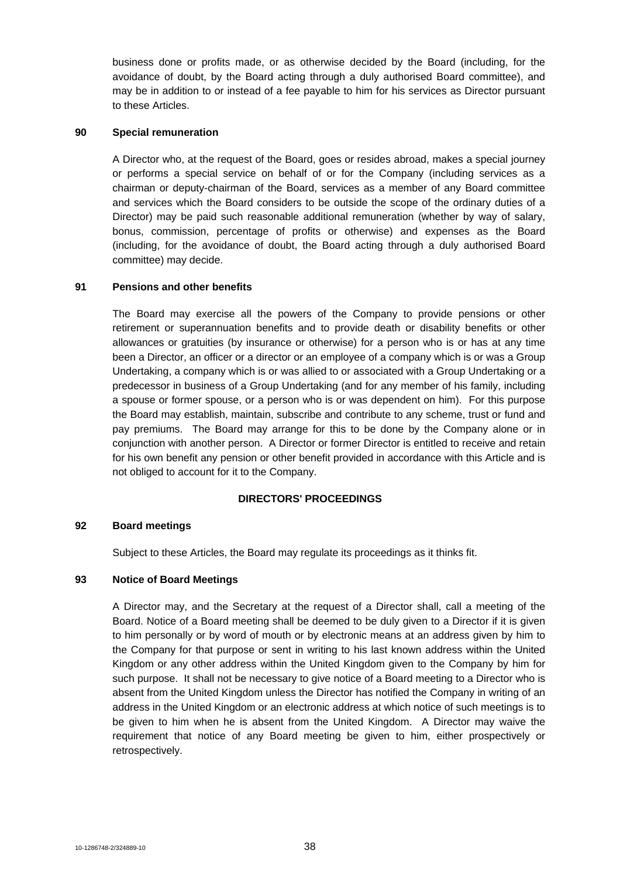business done or profits made, or as otherwise decided by the Board (including, for the avoidance of doubt, by the Board acting through a duly authorised Board committee), and may be in addition to or instead of a fee payable to him for his services as Director pursuant to these Articles.

## **90 Special remuneration**

A Director who, at the request of the Board, goes or resides abroad, makes a special journey or performs a special service on behalf of or for the Company (including services as a chairman or deputy-chairman of the Board, services as a member of any Board committee and services which the Board considers to be outside the scope of the ordinary duties of a Director) may be paid such reasonable additional remuneration (whether by way of salary, bonus, commission, percentage of profits or otherwise) and expenses as the Board (including, for the avoidance of doubt, the Board acting through a duly authorised Board committee) may decide.

# **91 Pensions and other benefits**

The Board may exercise all the powers of the Company to provide pensions or other retirement or superannuation benefits and to provide death or disability benefits or other allowances or gratuities (by insurance or otherwise) for a person who is or has at any time been a Director, an officer or a director or an employee of a company which is or was a Group Undertaking, a company which is or was allied to or associated with a Group Undertaking or a predecessor in business of a Group Undertaking (and for any member of his family, including a spouse or former spouse, or a person who is or was dependent on him). For this purpose the Board may establish, maintain, subscribe and contribute to any scheme, trust or fund and pay premiums. The Board may arrange for this to be done by the Company alone or in conjunction with another person. A Director or former Director is entitled to receive and retain for his own benefit any pension or other benefit provided in accordance with this Article and is not obliged to account for it to the Company.

# **DIRECTORS' PROCEEDINGS**

#### **92 Board meetings**

Subject to these Articles, the Board may regulate its proceedings as it thinks fit.

#### **93 Notice of Board Meetings**

A Director may, and the Secretary at the request of a Director shall, call a meeting of the Board. Notice of a Board meeting shall be deemed to be duly given to a Director if it is given to him personally or by word of mouth or by electronic means at an address given by him to the Company for that purpose or sent in writing to his last known address within the United Kingdom or any other address within the United Kingdom given to the Company by him for such purpose. It shall not be necessary to give notice of a Board meeting to a Director who is absent from the United Kingdom unless the Director has notified the Company in writing of an address in the United Kingdom or an electronic address at which notice of such meetings is to be given to him when he is absent from the United Kingdom. A Director may waive the requirement that notice of any Board meeting be given to him, either prospectively or retrospectively.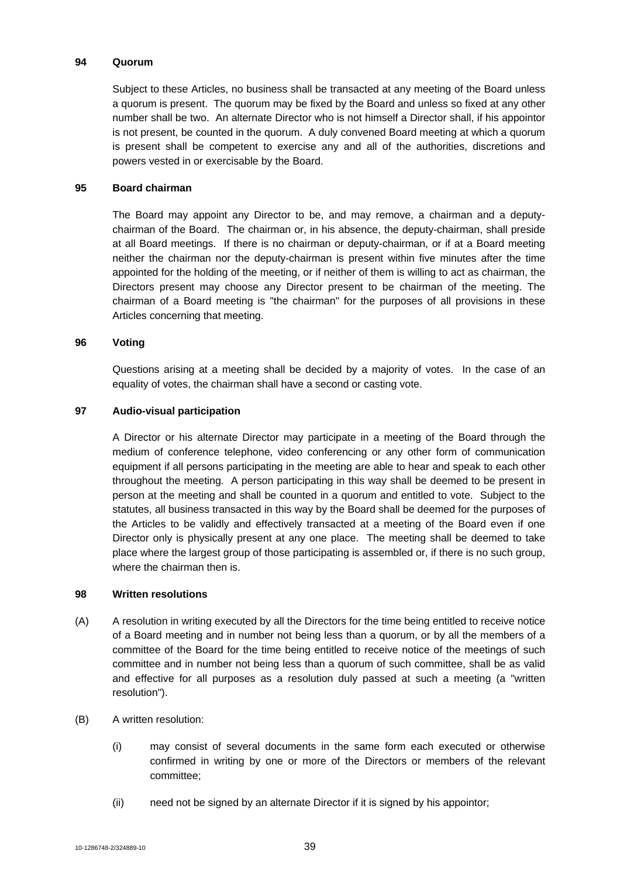#### **94 Quorum**

Subject to these Articles, no business shall be transacted at any meeting of the Board unless a quorum is present. The quorum may be fixed by the Board and unless so fixed at any other number shall be two. An alternate Director who is not himself a Director shall, if his appointor is not present, be counted in the quorum. A duly convened Board meeting at which a quorum is present shall be competent to exercise any and all of the authorities, discretions and powers vested in or exercisable by the Board.

### **95 Board chairman**

The Board may appoint any Director to be, and may remove, a chairman and a deputychairman of the Board. The chairman or, in his absence, the deputy-chairman, shall preside at all Board meetings. If there is no chairman or deputy-chairman, or if at a Board meeting neither the chairman nor the deputy-chairman is present within five minutes after the time appointed for the holding of the meeting, or if neither of them is willing to act as chairman, the Directors present may choose any Director present to be chairman of the meeting. The chairman of a Board meeting is "the chairman" for the purposes of all provisions in these Articles concerning that meeting.

#### **96 Voting**

Questions arising at a meeting shall be decided by a majority of votes. In the case of an equality of votes, the chairman shall have a second or casting vote.

### **97 Audio-visual participation**

A Director or his alternate Director may participate in a meeting of the Board through the medium of conference telephone, video conferencing or any other form of communication equipment if all persons participating in the meeting are able to hear and speak to each other throughout the meeting. A person participating in this way shall be deemed to be present in person at the meeting and shall be counted in a quorum and entitled to vote. Subject to the statutes, all business transacted in this way by the Board shall be deemed for the purposes of the Articles to be validly and effectively transacted at a meeting of the Board even if one Director only is physically present at any one place. The meeting shall be deemed to take place where the largest group of those participating is assembled or, if there is no such group, where the chairman then is.

#### **98 Written resolutions**

- (A) A resolution in writing executed by all the Directors for the time being entitled to receive notice of a Board meeting and in number not being less than a quorum, or by all the members of a committee of the Board for the time being entitled to receive notice of the meetings of such committee and in number not being less than a quorum of such committee, shall be as valid and effective for all purposes as a resolution duly passed at such a meeting (a "written resolution").
- (B) A written resolution:
	- (i) may consist of several documents in the same form each executed or otherwise confirmed in writing by one or more of the Directors or members of the relevant committee;
	- (ii) need not be signed by an alternate Director if it is signed by his appointor;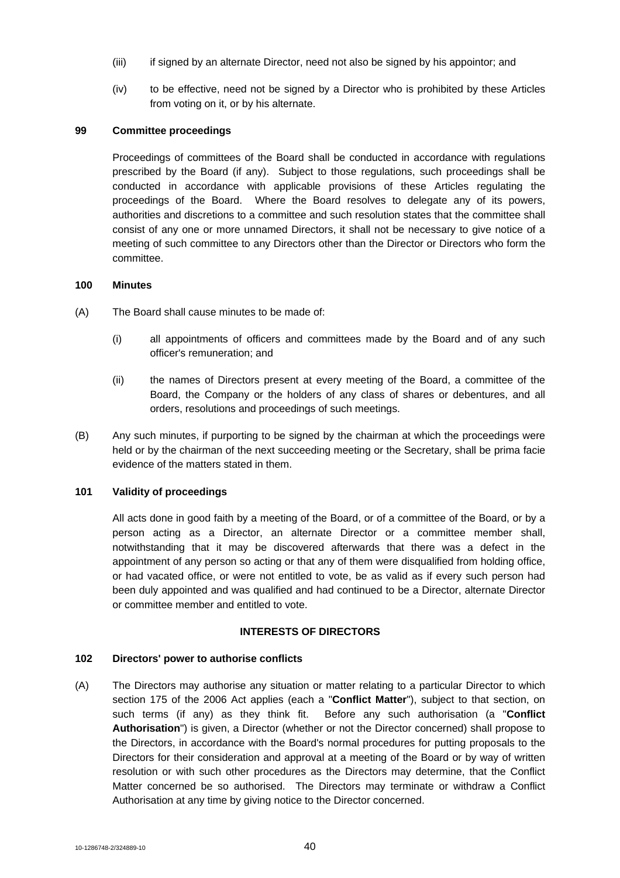- (iii) if signed by an alternate Director, need not also be signed by his appointor; and
- (iv) to be effective, need not be signed by a Director who is prohibited by these Articles from voting on it, or by his alternate.

#### **99 Committee proceedings**

Proceedings of committees of the Board shall be conducted in accordance with regulations prescribed by the Board (if any). Subject to those regulations, such proceedings shall be conducted in accordance with applicable provisions of these Articles regulating the proceedings of the Board. Where the Board resolves to delegate any of its powers, authorities and discretions to a committee and such resolution states that the committee shall consist of any one or more unnamed Directors, it shall not be necessary to give notice of a meeting of such committee to any Directors other than the Director or Directors who form the committee.

#### **100 Minutes**

- (A) The Board shall cause minutes to be made of:
	- (i) all appointments of officers and committees made by the Board and of any such officer's remuneration; and
	- (ii) the names of Directors present at every meeting of the Board, a committee of the Board, the Company or the holders of any class of shares or debentures, and all orders, resolutions and proceedings of such meetings.
- (B) Any such minutes, if purporting to be signed by the chairman at which the proceedings were held or by the chairman of the next succeeding meeting or the Secretary, shall be prima facie evidence of the matters stated in them.

# **101 Validity of proceedings**

All acts done in good faith by a meeting of the Board, or of a committee of the Board, or by a person acting as a Director, an alternate Director or a committee member shall, notwithstanding that it may be discovered afterwards that there was a defect in the appointment of any person so acting or that any of them were disqualified from holding office, or had vacated office, or were not entitled to vote, be as valid as if every such person had been duly appointed and was qualified and had continued to be a Director, alternate Director or committee member and entitled to vote.

#### **INTERESTS OF DIRECTORS**

#### **102 Directors' power to authorise conflicts**

(A) The Directors may authorise any situation or matter relating to a particular Director to which section 175 of the 2006 Act applies (each a "**Conflict Matter**"), subject to that section, on such terms (if any) as they think fit. Before any such authorisation (a "**Conflict Authorisation**") is given, a Director (whether or not the Director concerned) shall propose to the Directors, in accordance with the Board's normal procedures for putting proposals to the Directors for their consideration and approval at a meeting of the Board or by way of written resolution or with such other procedures as the Directors may determine, that the Conflict Matter concerned be so authorised. The Directors may terminate or withdraw a Conflict Authorisation at any time by giving notice to the Director concerned.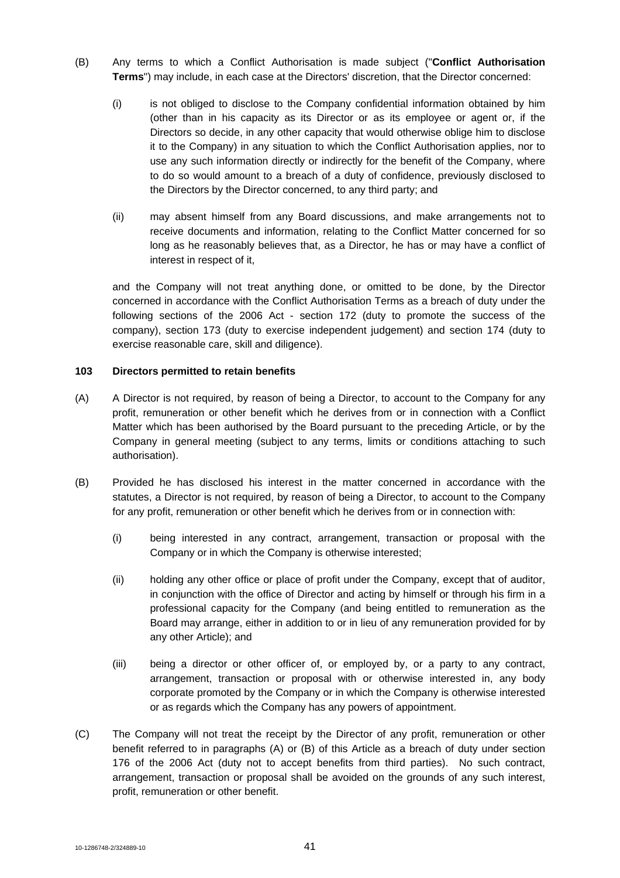- (B) Any terms to which a Conflict Authorisation is made subject ("**Conflict Authorisation Terms**") may include, in each case at the Directors' discretion, that the Director concerned:
	- (i) is not obliged to disclose to the Company confidential information obtained by him (other than in his capacity as its Director or as its employee or agent or, if the Directors so decide, in any other capacity that would otherwise oblige him to disclose it to the Company) in any situation to which the Conflict Authorisation applies, nor to use any such information directly or indirectly for the benefit of the Company, where to do so would amount to a breach of a duty of confidence, previously disclosed to the Directors by the Director concerned, to any third party; and
	- (ii) may absent himself from any Board discussions, and make arrangements not to receive documents and information, relating to the Conflict Matter concerned for so long as he reasonably believes that, as a Director, he has or may have a conflict of interest in respect of it,

and the Company will not treat anything done, or omitted to be done, by the Director concerned in accordance with the Conflict Authorisation Terms as a breach of duty under the following sections of the 2006 Act - section 172 (duty to promote the success of the company), section 173 (duty to exercise independent judgement) and section 174 (duty to exercise reasonable care, skill and diligence).

### **103 Directors permitted to retain benefits**

- (A) A Director is not required, by reason of being a Director, to account to the Company for any profit, remuneration or other benefit which he derives from or in connection with a Conflict Matter which has been authorised by the Board pursuant to the preceding Article, or by the Company in general meeting (subject to any terms, limits or conditions attaching to such authorisation).
- (B) Provided he has disclosed his interest in the matter concerned in accordance with the statutes, a Director is not required, by reason of being a Director, to account to the Company for any profit, remuneration or other benefit which he derives from or in connection with:
	- (i) being interested in any contract, arrangement, transaction or proposal with the Company or in which the Company is otherwise interested;
	- (ii) holding any other office or place of profit under the Company, except that of auditor, in conjunction with the office of Director and acting by himself or through his firm in a professional capacity for the Company (and being entitled to remuneration as the Board may arrange, either in addition to or in lieu of any remuneration provided for by any other Article); and
	- (iii) being a director or other officer of, or employed by, or a party to any contract, arrangement, transaction or proposal with or otherwise interested in, any body corporate promoted by the Company or in which the Company is otherwise interested or as regards which the Company has any powers of appointment.
- (C) The Company will not treat the receipt by the Director of any profit, remuneration or other benefit referred to in paragraphs (A) or (B) of this Article as a breach of duty under section 176 of the 2006 Act (duty not to accept benefits from third parties). No such contract, arrangement, transaction or proposal shall be avoided on the grounds of any such interest, profit, remuneration or other benefit.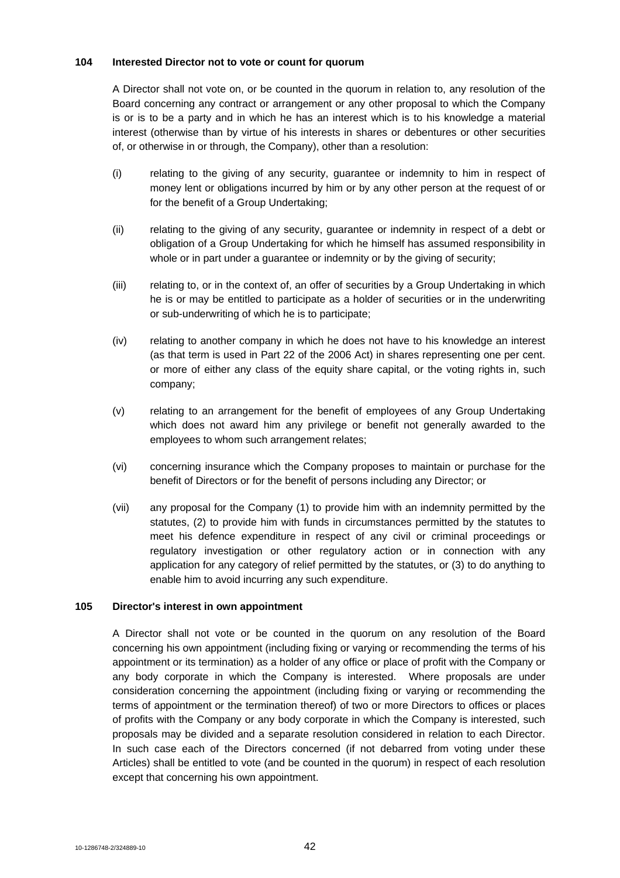### **104 Interested Director not to vote or count for quorum**

A Director shall not vote on, or be counted in the quorum in relation to, any resolution of the Board concerning any contract or arrangement or any other proposal to which the Company is or is to be a party and in which he has an interest which is to his knowledge a material interest (otherwise than by virtue of his interests in shares or debentures or other securities of, or otherwise in or through, the Company), other than a resolution:

- (i) relating to the giving of any security, guarantee or indemnity to him in respect of money lent or obligations incurred by him or by any other person at the request of or for the benefit of a Group Undertaking;
- (ii) relating to the giving of any security, guarantee or indemnity in respect of a debt or obligation of a Group Undertaking for which he himself has assumed responsibility in whole or in part under a guarantee or indemnity or by the giving of security;
- (iii) relating to, or in the context of, an offer of securities by a Group Undertaking in which he is or may be entitled to participate as a holder of securities or in the underwriting or sub-underwriting of which he is to participate;
- (iv) relating to another company in which he does not have to his knowledge an interest (as that term is used in Part 22 of the 2006 Act) in shares representing one per cent. or more of either any class of the equity share capital, or the voting rights in, such company;
- (v) relating to an arrangement for the benefit of employees of any Group Undertaking which does not award him any privilege or benefit not generally awarded to the employees to whom such arrangement relates;
- (vi) concerning insurance which the Company proposes to maintain or purchase for the benefit of Directors or for the benefit of persons including any Director; or
- (vii) any proposal for the Company (1) to provide him with an indemnity permitted by the statutes, (2) to provide him with funds in circumstances permitted by the statutes to meet his defence expenditure in respect of any civil or criminal proceedings or regulatory investigation or other regulatory action or in connection with any application for any category of relief permitted by the statutes, or (3) to do anything to enable him to avoid incurring any such expenditure.

# **105 Director's interest in own appointment**

A Director shall not vote or be counted in the quorum on any resolution of the Board concerning his own appointment (including fixing or varying or recommending the terms of his appointment or its termination) as a holder of any office or place of profit with the Company or any body corporate in which the Company is interested. Where proposals are under consideration concerning the appointment (including fixing or varying or recommending the terms of appointment or the termination thereof) of two or more Directors to offices or places of profits with the Company or any body corporate in which the Company is interested, such proposals may be divided and a separate resolution considered in relation to each Director. In such case each of the Directors concerned (if not debarred from voting under these Articles) shall be entitled to vote (and be counted in the quorum) in respect of each resolution except that concerning his own appointment.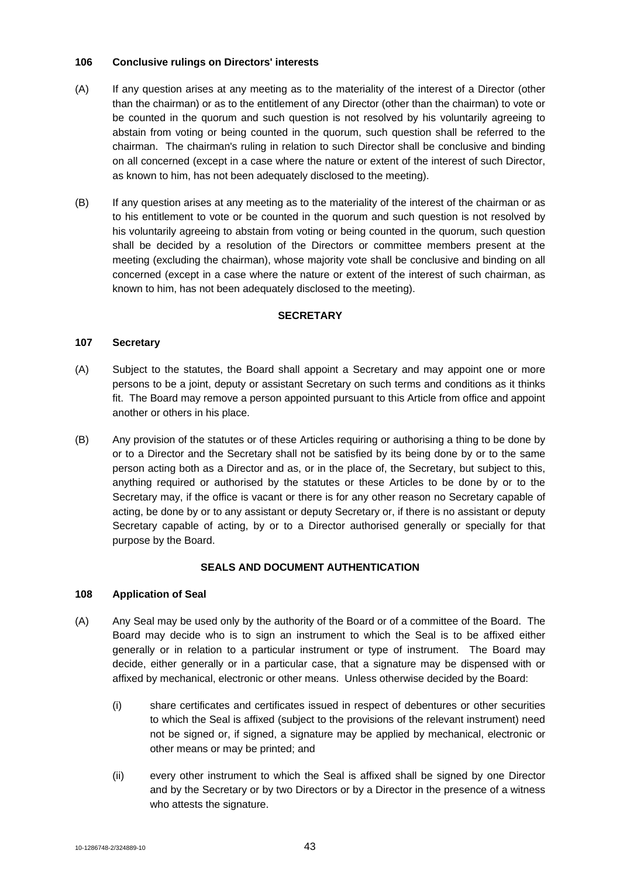### **106 Conclusive rulings on Directors' interests**

- (A) If any question arises at any meeting as to the materiality of the interest of a Director (other than the chairman) or as to the entitlement of any Director (other than the chairman) to vote or be counted in the quorum and such question is not resolved by his voluntarily agreeing to abstain from voting or being counted in the quorum, such question shall be referred to the chairman. The chairman's ruling in relation to such Director shall be conclusive and binding on all concerned (except in a case where the nature or extent of the interest of such Director, as known to him, has not been adequately disclosed to the meeting).
- (B) If any question arises at any meeting as to the materiality of the interest of the chairman or as to his entitlement to vote or be counted in the quorum and such question is not resolved by his voluntarily agreeing to abstain from voting or being counted in the quorum, such question shall be decided by a resolution of the Directors or committee members present at the meeting (excluding the chairman), whose majority vote shall be conclusive and binding on all concerned (except in a case where the nature or extent of the interest of such chairman, as known to him, has not been adequately disclosed to the meeting).

## **SECRETARY**

#### **107 Secretary**

- (A) Subject to the statutes, the Board shall appoint a Secretary and may appoint one or more persons to be a joint, deputy or assistant Secretary on such terms and conditions as it thinks fit. The Board may remove a person appointed pursuant to this Article from office and appoint another or others in his place.
- (B) Any provision of the statutes or of these Articles requiring or authorising a thing to be done by or to a Director and the Secretary shall not be satisfied by its being done by or to the same person acting both as a Director and as, or in the place of, the Secretary, but subject to this, anything required or authorised by the statutes or these Articles to be done by or to the Secretary may, if the office is vacant or there is for any other reason no Secretary capable of acting, be done by or to any assistant or deputy Secretary or, if there is no assistant or deputy Secretary capable of acting, by or to a Director authorised generally or specially for that purpose by the Board.

# **SEALS AND DOCUMENT AUTHENTICATION**

#### **108 Application of Seal**

- (A) Any Seal may be used only by the authority of the Board or of a committee of the Board. The Board may decide who is to sign an instrument to which the Seal is to be affixed either generally or in relation to a particular instrument or type of instrument. The Board may decide, either generally or in a particular case, that a signature may be dispensed with or affixed by mechanical, electronic or other means. Unless otherwise decided by the Board:
	- (i) share certificates and certificates issued in respect of debentures or other securities to which the Seal is affixed (subject to the provisions of the relevant instrument) need not be signed or, if signed, a signature may be applied by mechanical, electronic or other means or may be printed; and
	- (ii) every other instrument to which the Seal is affixed shall be signed by one Director and by the Secretary or by two Directors or by a Director in the presence of a witness who attests the signature.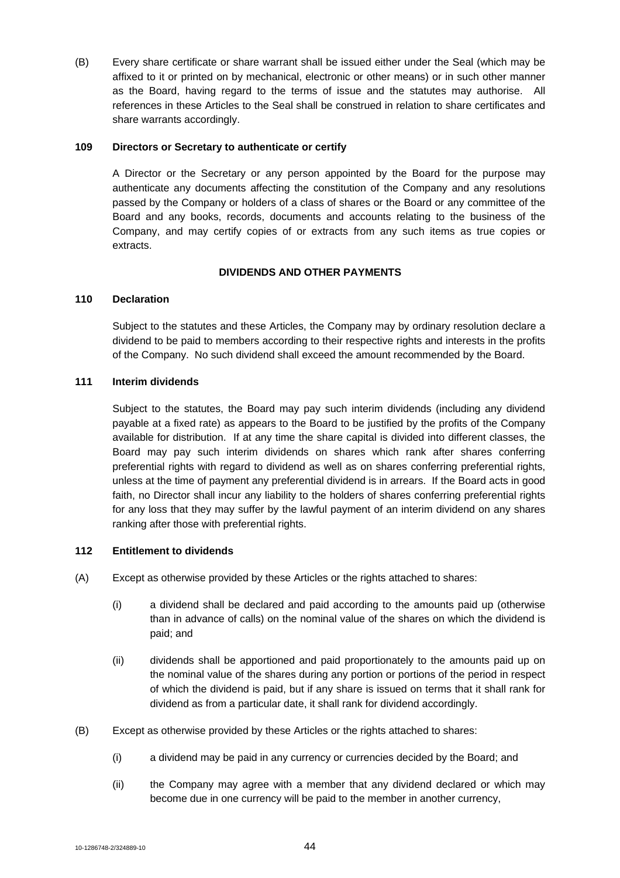(B) Every share certificate or share warrant shall be issued either under the Seal (which may be affixed to it or printed on by mechanical, electronic or other means) or in such other manner as the Board, having regard to the terms of issue and the statutes may authorise. All references in these Articles to the Seal shall be construed in relation to share certificates and share warrants accordingly.

#### **109 Directors or Secretary to authenticate or certify**

A Director or the Secretary or any person appointed by the Board for the purpose may authenticate any documents affecting the constitution of the Company and any resolutions passed by the Company or holders of a class of shares or the Board or any committee of the Board and any books, records, documents and accounts relating to the business of the Company, and may certify copies of or extracts from any such items as true copies or extracts.

# **DIVIDENDS AND OTHER PAYMENTS**

#### **110 Declaration**

Subject to the statutes and these Articles, the Company may by ordinary resolution declare a dividend to be paid to members according to their respective rights and interests in the profits of the Company. No such dividend shall exceed the amount recommended by the Board.

#### **111 Interim dividends**

Subject to the statutes, the Board may pay such interim dividends (including any dividend payable at a fixed rate) as appears to the Board to be justified by the profits of the Company available for distribution. If at any time the share capital is divided into different classes, the Board may pay such interim dividends on shares which rank after shares conferring preferential rights with regard to dividend as well as on shares conferring preferential rights, unless at the time of payment any preferential dividend is in arrears. If the Board acts in good faith, no Director shall incur any liability to the holders of shares conferring preferential rights for any loss that they may suffer by the lawful payment of an interim dividend on any shares ranking after those with preferential rights.

#### **112 Entitlement to dividends**

- (A) Except as otherwise provided by these Articles or the rights attached to shares:
	- (i) a dividend shall be declared and paid according to the amounts paid up (otherwise than in advance of calls) on the nominal value of the shares on which the dividend is paid; and
	- (ii) dividends shall be apportioned and paid proportionately to the amounts paid up on the nominal value of the shares during any portion or portions of the period in respect of which the dividend is paid, but if any share is issued on terms that it shall rank for dividend as from a particular date, it shall rank for dividend accordingly.
- (B) Except as otherwise provided by these Articles or the rights attached to shares:
	- (i) a dividend may be paid in any currency or currencies decided by the Board; and
	- (ii) the Company may agree with a member that any dividend declared or which may become due in one currency will be paid to the member in another currency,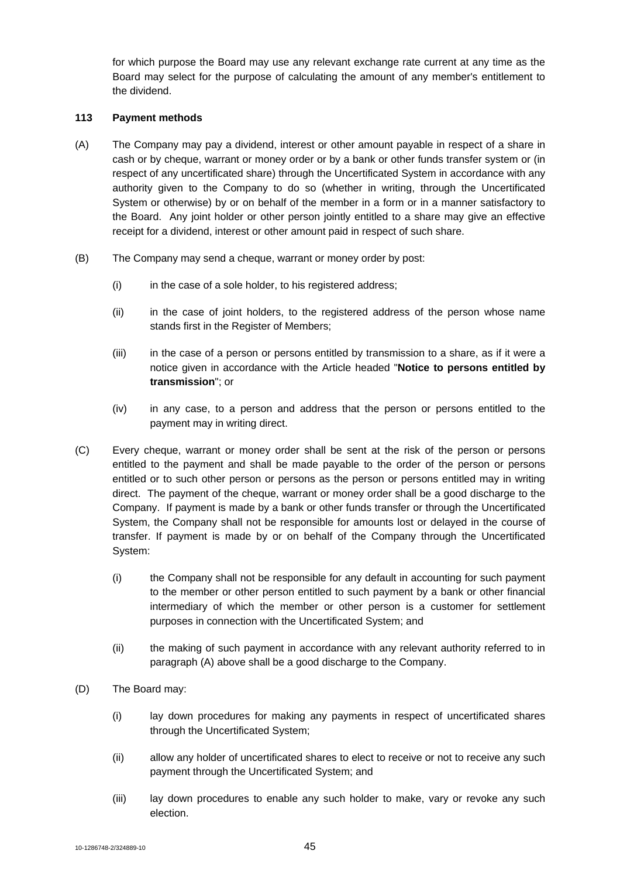for which purpose the Board may use any relevant exchange rate current at any time as the Board may select for the purpose of calculating the amount of any member's entitlement to the dividend.

### **113 Payment methods**

- (A) The Company may pay a dividend, interest or other amount payable in respect of a share in cash or by cheque, warrant or money order or by a bank or other funds transfer system or (in respect of any uncertificated share) through the Uncertificated System in accordance with any authority given to the Company to do so (whether in writing, through the Uncertificated System or otherwise) by or on behalf of the member in a form or in a manner satisfactory to the Board. Any joint holder or other person jointly entitled to a share may give an effective receipt for a dividend, interest or other amount paid in respect of such share.
- (B) The Company may send a cheque, warrant or money order by post:
	- (i) in the case of a sole holder, to his registered address;
	- (ii) in the case of joint holders, to the registered address of the person whose name stands first in the Register of Members;
	- (iii) in the case of a person or persons entitled by transmission to a share, as if it were a notice given in accordance with the Article headed "**Notice to persons entitled by transmission**"; or
	- (iv) in any case, to a person and address that the person or persons entitled to the payment may in writing direct.
- (C) Every cheque, warrant or money order shall be sent at the risk of the person or persons entitled to the payment and shall be made payable to the order of the person or persons entitled or to such other person or persons as the person or persons entitled may in writing direct. The payment of the cheque, warrant or money order shall be a good discharge to the Company. If payment is made by a bank or other funds transfer or through the Uncertificated System, the Company shall not be responsible for amounts lost or delayed in the course of transfer. If payment is made by or on behalf of the Company through the Uncertificated System:
	- (i) the Company shall not be responsible for any default in accounting for such payment to the member or other person entitled to such payment by a bank or other financial intermediary of which the member or other person is a customer for settlement purposes in connection with the Uncertificated System; and
	- (ii) the making of such payment in accordance with any relevant authority referred to in paragraph (A) above shall be a good discharge to the Company.
- (D) The Board may:
	- (i) lay down procedures for making any payments in respect of uncertificated shares through the Uncertificated System;
	- (ii) allow any holder of uncertificated shares to elect to receive or not to receive any such payment through the Uncertificated System; and
	- (iii) lay down procedures to enable any such holder to make, vary or revoke any such election.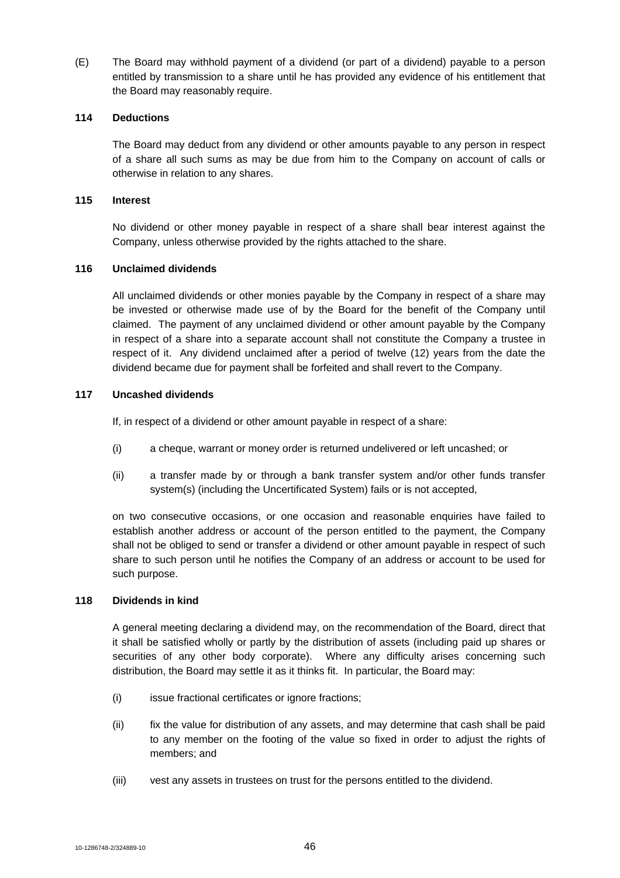(E) The Board may withhold payment of a dividend (or part of a dividend) payable to a person entitled by transmission to a share until he has provided any evidence of his entitlement that the Board may reasonably require.

#### **114 Deductions**

The Board may deduct from any dividend or other amounts payable to any person in respect of a share all such sums as may be due from him to the Company on account of calls or otherwise in relation to any shares.

### **115 Interest**

No dividend or other money payable in respect of a share shall bear interest against the Company, unless otherwise provided by the rights attached to the share.

### **116 Unclaimed dividends**

All unclaimed dividends or other monies payable by the Company in respect of a share may be invested or otherwise made use of by the Board for the benefit of the Company until claimed. The payment of any unclaimed dividend or other amount payable by the Company in respect of a share into a separate account shall not constitute the Company a trustee in respect of it. Any dividend unclaimed after a period of twelve (12) years from the date the dividend became due for payment shall be forfeited and shall revert to the Company.

# **117 Uncashed dividends**

If, in respect of a dividend or other amount payable in respect of a share:

- (i) a cheque, warrant or money order is returned undelivered or left uncashed; or
- (ii) a transfer made by or through a bank transfer system and/or other funds transfer system(s) (including the Uncertificated System) fails or is not accepted,

on two consecutive occasions, or one occasion and reasonable enquiries have failed to establish another address or account of the person entitled to the payment, the Company shall not be obliged to send or transfer a dividend or other amount payable in respect of such share to such person until he notifies the Company of an address or account to be used for such purpose.

#### **118 Dividends in kind**

A general meeting declaring a dividend may, on the recommendation of the Board, direct that it shall be satisfied wholly or partly by the distribution of assets (including paid up shares or securities of any other body corporate). Where any difficulty arises concerning such distribution, the Board may settle it as it thinks fit. In particular, the Board may:

- (i) issue fractional certificates or ignore fractions;
- (ii) fix the value for distribution of any assets, and may determine that cash shall be paid to any member on the footing of the value so fixed in order to adjust the rights of members; and
- (iii) vest any assets in trustees on trust for the persons entitled to the dividend.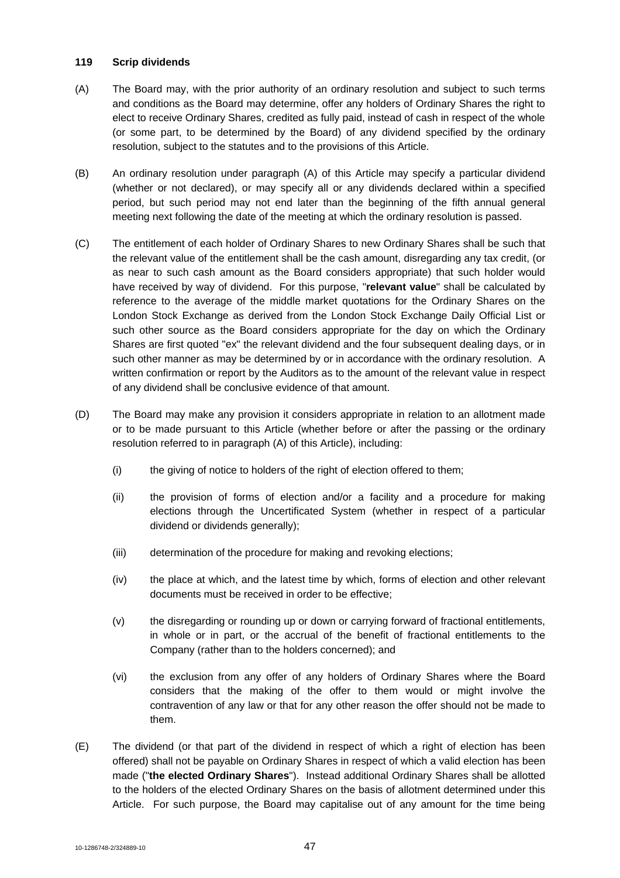### **119 Scrip dividends**

- (A) The Board may, with the prior authority of an ordinary resolution and subject to such terms and conditions as the Board may determine, offer any holders of Ordinary Shares the right to elect to receive Ordinary Shares, credited as fully paid, instead of cash in respect of the whole (or some part, to be determined by the Board) of any dividend specified by the ordinary resolution, subject to the statutes and to the provisions of this Article.
- (B) An ordinary resolution under paragraph (A) of this Article may specify a particular dividend (whether or not declared), or may specify all or any dividends declared within a specified period, but such period may not end later than the beginning of the fifth annual general meeting next following the date of the meeting at which the ordinary resolution is passed.
- (C) The entitlement of each holder of Ordinary Shares to new Ordinary Shares shall be such that the relevant value of the entitlement shall be the cash amount, disregarding any tax credit, (or as near to such cash amount as the Board considers appropriate) that such holder would have received by way of dividend. For this purpose, "**relevant value**" shall be calculated by reference to the average of the middle market quotations for the Ordinary Shares on the London Stock Exchange as derived from the London Stock Exchange Daily Official List or such other source as the Board considers appropriate for the day on which the Ordinary Shares are first quoted "ex" the relevant dividend and the four subsequent dealing days, or in such other manner as may be determined by or in accordance with the ordinary resolution. A written confirmation or report by the Auditors as to the amount of the relevant value in respect of any dividend shall be conclusive evidence of that amount.
- (D) The Board may make any provision it considers appropriate in relation to an allotment made or to be made pursuant to this Article (whether before or after the passing or the ordinary resolution referred to in paragraph (A) of this Article), including:
	- (i) the giving of notice to holders of the right of election offered to them;
	- (ii) the provision of forms of election and/or a facility and a procedure for making elections through the Uncertificated System (whether in respect of a particular dividend or dividends generally);
	- (iii) determination of the procedure for making and revoking elections;
	- (iv) the place at which, and the latest time by which, forms of election and other relevant documents must be received in order to be effective;
	- (v) the disregarding or rounding up or down or carrying forward of fractional entitlements, in whole or in part, or the accrual of the benefit of fractional entitlements to the Company (rather than to the holders concerned); and
	- (vi) the exclusion from any offer of any holders of Ordinary Shares where the Board considers that the making of the offer to them would or might involve the contravention of any law or that for any other reason the offer should not be made to them.
- (E) The dividend (or that part of the dividend in respect of which a right of election has been offered) shall not be payable on Ordinary Shares in respect of which a valid election has been made ("**the elected Ordinary Shares**"). Instead additional Ordinary Shares shall be allotted to the holders of the elected Ordinary Shares on the basis of allotment determined under this Article. For such purpose, the Board may capitalise out of any amount for the time being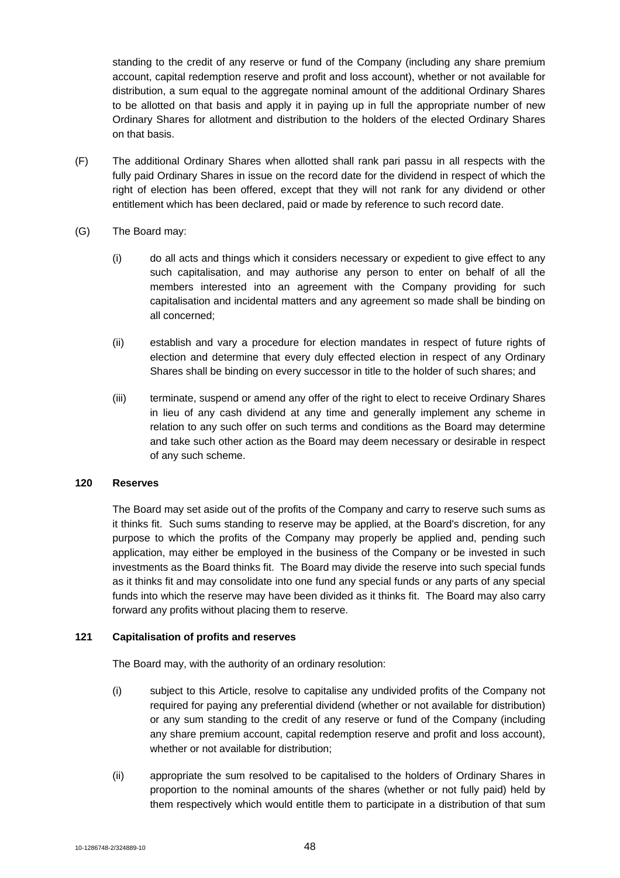standing to the credit of any reserve or fund of the Company (including any share premium account, capital redemption reserve and profit and loss account), whether or not available for distribution, a sum equal to the aggregate nominal amount of the additional Ordinary Shares to be allotted on that basis and apply it in paying up in full the appropriate number of new Ordinary Shares for allotment and distribution to the holders of the elected Ordinary Shares on that basis.

- (F) The additional Ordinary Shares when allotted shall rank pari passu in all respects with the fully paid Ordinary Shares in issue on the record date for the dividend in respect of which the right of election has been offered, except that they will not rank for any dividend or other entitlement which has been declared, paid or made by reference to such record date.
- (G) The Board may:
	- (i) do all acts and things which it considers necessary or expedient to give effect to any such capitalisation, and may authorise any person to enter on behalf of all the members interested into an agreement with the Company providing for such capitalisation and incidental matters and any agreement so made shall be binding on all concerned;
	- (ii) establish and vary a procedure for election mandates in respect of future rights of election and determine that every duly effected election in respect of any Ordinary Shares shall be binding on every successor in title to the holder of such shares; and
	- (iii) terminate, suspend or amend any offer of the right to elect to receive Ordinary Shares in lieu of any cash dividend at any time and generally implement any scheme in relation to any such offer on such terms and conditions as the Board may determine and take such other action as the Board may deem necessary or desirable in respect of any such scheme.

# **120 Reserves**

The Board may set aside out of the profits of the Company and carry to reserve such sums as it thinks fit. Such sums standing to reserve may be applied, at the Board's discretion, for any purpose to which the profits of the Company may properly be applied and, pending such application, may either be employed in the business of the Company or be invested in such investments as the Board thinks fit. The Board may divide the reserve into such special funds as it thinks fit and may consolidate into one fund any special funds or any parts of any special funds into which the reserve may have been divided as it thinks fit. The Board may also carry forward any profits without placing them to reserve.

# **121 Capitalisation of profits and reserves**

The Board may, with the authority of an ordinary resolution:

- (i) subject to this Article, resolve to capitalise any undivided profits of the Company not required for paying any preferential dividend (whether or not available for distribution) or any sum standing to the credit of any reserve or fund of the Company (including any share premium account, capital redemption reserve and profit and loss account), whether or not available for distribution;
- (ii) appropriate the sum resolved to be capitalised to the holders of Ordinary Shares in proportion to the nominal amounts of the shares (whether or not fully paid) held by them respectively which would entitle them to participate in a distribution of that sum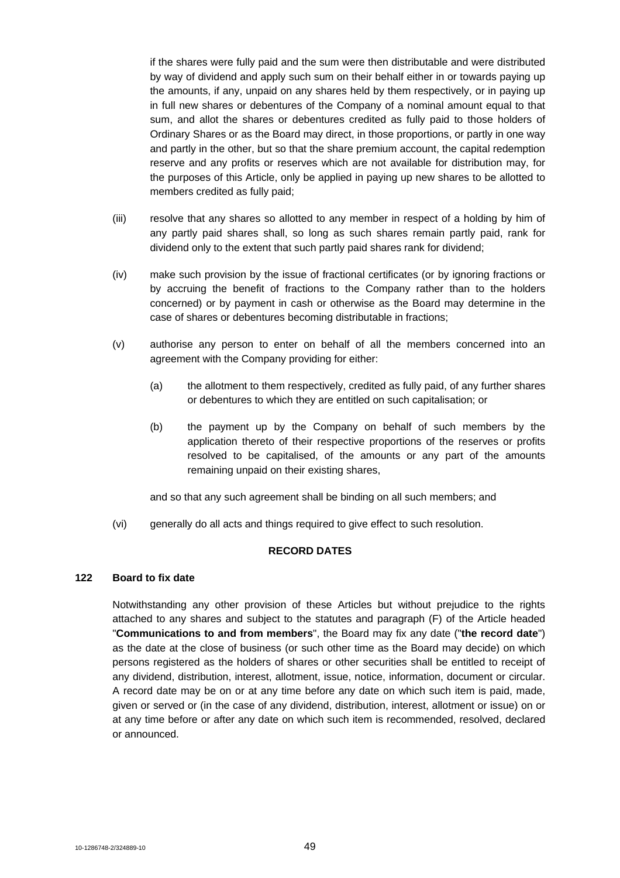if the shares were fully paid and the sum were then distributable and were distributed by way of dividend and apply such sum on their behalf either in or towards paying up the amounts, if any, unpaid on any shares held by them respectively, or in paying up in full new shares or debentures of the Company of a nominal amount equal to that sum, and allot the shares or debentures credited as fully paid to those holders of Ordinary Shares or as the Board may direct, in those proportions, or partly in one way and partly in the other, but so that the share premium account, the capital redemption reserve and any profits or reserves which are not available for distribution may, for the purposes of this Article, only be applied in paying up new shares to be allotted to members credited as fully paid;

- (iii) resolve that any shares so allotted to any member in respect of a holding by him of any partly paid shares shall, so long as such shares remain partly paid, rank for dividend only to the extent that such partly paid shares rank for dividend;
- (iv) make such provision by the issue of fractional certificates (or by ignoring fractions or by accruing the benefit of fractions to the Company rather than to the holders concerned) or by payment in cash or otherwise as the Board may determine in the case of shares or debentures becoming distributable in fractions;
- (v) authorise any person to enter on behalf of all the members concerned into an agreement with the Company providing for either:
	- (a) the allotment to them respectively, credited as fully paid, of any further shares or debentures to which they are entitled on such capitalisation; or
	- (b) the payment up by the Company on behalf of such members by the application thereto of their respective proportions of the reserves or profits resolved to be capitalised, of the amounts or any part of the amounts remaining unpaid on their existing shares,

and so that any such agreement shall be binding on all such members; and

(vi) generally do all acts and things required to give effect to such resolution.

# **RECORD DATES**

# **122 Board to fix date**

Notwithstanding any other provision of these Articles but without prejudice to the rights attached to any shares and subject to the statutes and paragraph (F) of the Article headed "**Communications to and from members**", the Board may fix any date ("**the record date**") as the date at the close of business (or such other time as the Board may decide) on which persons registered as the holders of shares or other securities shall be entitled to receipt of any dividend, distribution, interest, allotment, issue, notice, information, document or circular. A record date may be on or at any time before any date on which such item is paid, made, given or served or (in the case of any dividend, distribution, interest, allotment or issue) on or at any time before or after any date on which such item is recommended, resolved, declared or announced.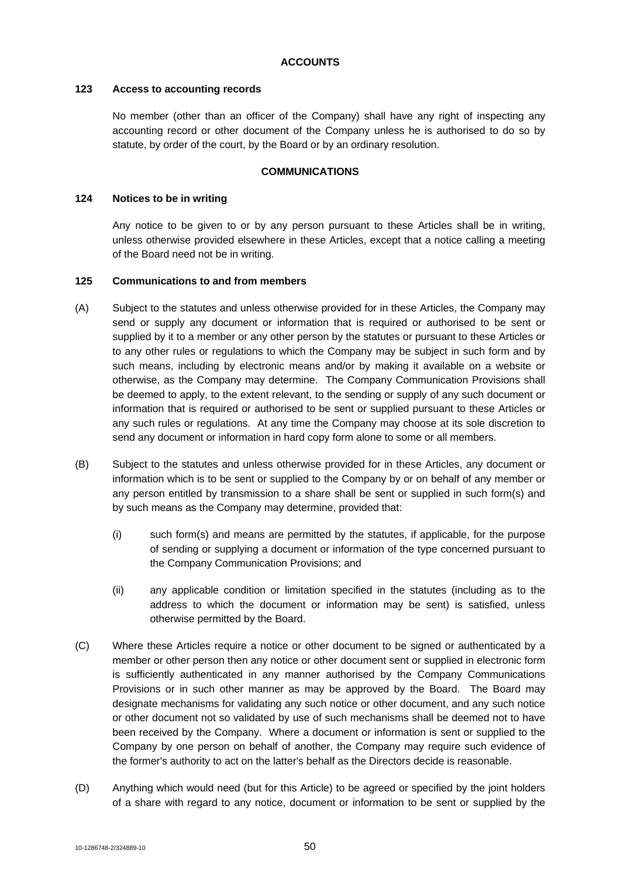### **ACCOUNTS**

### **123 Access to accounting records**

No member (other than an officer of the Company) shall have any right of inspecting any accounting record or other document of the Company unless he is authorised to do so by statute, by order of the court, by the Board or by an ordinary resolution.

### **COMMUNICATIONS**

#### **124 Notices to be in writing**

Any notice to be given to or by any person pursuant to these Articles shall be in writing, unless otherwise provided elsewhere in these Articles, except that a notice calling a meeting of the Board need not be in writing.

### **125 Communications to and from members**

- (A) Subject to the statutes and unless otherwise provided for in these Articles, the Company may send or supply any document or information that is required or authorised to be sent or supplied by it to a member or any other person by the statutes or pursuant to these Articles or to any other rules or regulations to which the Company may be subject in such form and by such means, including by electronic means and/or by making it available on a website or otherwise, as the Company may determine. The Company Communication Provisions shall be deemed to apply, to the extent relevant, to the sending or supply of any such document or information that is required or authorised to be sent or supplied pursuant to these Articles or any such rules or regulations. At any time the Company may choose at its sole discretion to send any document or information in hard copy form alone to some or all members.
- (B) Subject to the statutes and unless otherwise provided for in these Articles, any document or information which is to be sent or supplied to the Company by or on behalf of any member or any person entitled by transmission to a share shall be sent or supplied in such form(s) and by such means as the Company may determine, provided that:
	- (i) such form(s) and means are permitted by the statutes, if applicable, for the purpose of sending or supplying a document or information of the type concerned pursuant to the Company Communication Provisions; and
	- (ii) any applicable condition or limitation specified in the statutes (including as to the address to which the document or information may be sent) is satisfied, unless otherwise permitted by the Board.
- (C) Where these Articles require a notice or other document to be signed or authenticated by a member or other person then any notice or other document sent or supplied in electronic form is sufficiently authenticated in any manner authorised by the Company Communications Provisions or in such other manner as may be approved by the Board. The Board may designate mechanisms for validating any such notice or other document, and any such notice or other document not so validated by use of such mechanisms shall be deemed not to have been received by the Company. Where a document or information is sent or supplied to the Company by one person on behalf of another, the Company may require such evidence of the former's authority to act on the latter's behalf as the Directors decide is reasonable.
- (D) Anything which would need (but for this Article) to be agreed or specified by the joint holders of a share with regard to any notice, document or information to be sent or supplied by the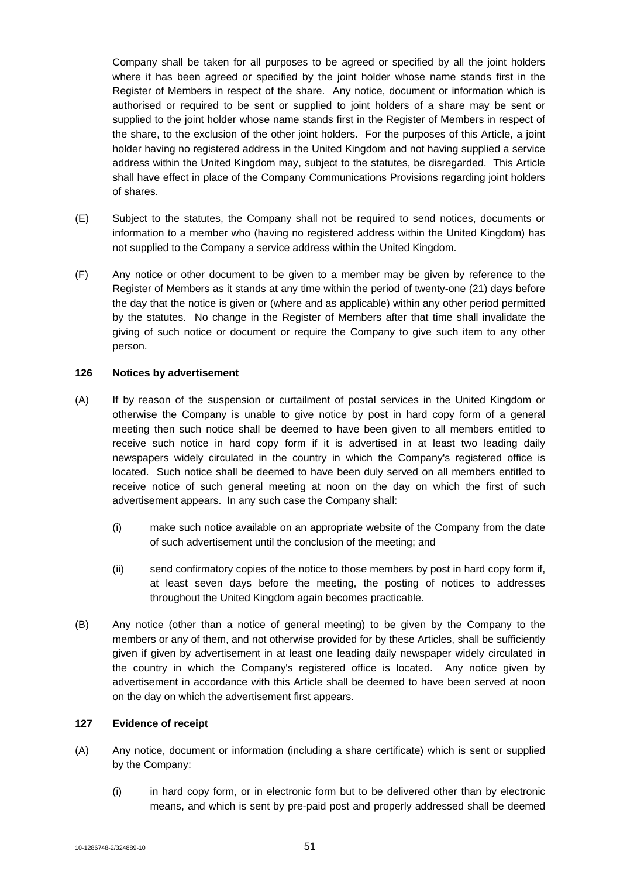Company shall be taken for all purposes to be agreed or specified by all the joint holders where it has been agreed or specified by the joint holder whose name stands first in the Register of Members in respect of the share. Any notice, document or information which is authorised or required to be sent or supplied to joint holders of a share may be sent or supplied to the joint holder whose name stands first in the Register of Members in respect of the share, to the exclusion of the other joint holders. For the purposes of this Article, a joint holder having no registered address in the United Kingdom and not having supplied a service address within the United Kingdom may, subject to the statutes, be disregarded. This Article shall have effect in place of the Company Communications Provisions regarding joint holders of shares.

- (E) Subject to the statutes, the Company shall not be required to send notices, documents or information to a member who (having no registered address within the United Kingdom) has not supplied to the Company a service address within the United Kingdom.
- (F) Any notice or other document to be given to a member may be given by reference to the Register of Members as it stands at any time within the period of twenty-one (21) days before the day that the notice is given or (where and as applicable) within any other period permitted by the statutes. No change in the Register of Members after that time shall invalidate the giving of such notice or document or require the Company to give such item to any other person.

# **126 Notices by advertisement**

- (A) If by reason of the suspension or curtailment of postal services in the United Kingdom or otherwise the Company is unable to give notice by post in hard copy form of a general meeting then such notice shall be deemed to have been given to all members entitled to receive such notice in hard copy form if it is advertised in at least two leading daily newspapers widely circulated in the country in which the Company's registered office is located. Such notice shall be deemed to have been duly served on all members entitled to receive notice of such general meeting at noon on the day on which the first of such advertisement appears. In any such case the Company shall:
	- (i) make such notice available on an appropriate website of the Company from the date of such advertisement until the conclusion of the meeting; and
	- (ii) send confirmatory copies of the notice to those members by post in hard copy form if, at least seven days before the meeting, the posting of notices to addresses throughout the United Kingdom again becomes practicable.
- (B) Any notice (other than a notice of general meeting) to be given by the Company to the members or any of them, and not otherwise provided for by these Articles, shall be sufficiently given if given by advertisement in at least one leading daily newspaper widely circulated in the country in which the Company's registered office is located. Any notice given by advertisement in accordance with this Article shall be deemed to have been served at noon on the day on which the advertisement first appears.

# **127 Evidence of receipt**

- (A) Any notice, document or information (including a share certificate) which is sent or supplied by the Company:
	- (i) in hard copy form, or in electronic form but to be delivered other than by electronic means, and which is sent by pre-paid post and properly addressed shall be deemed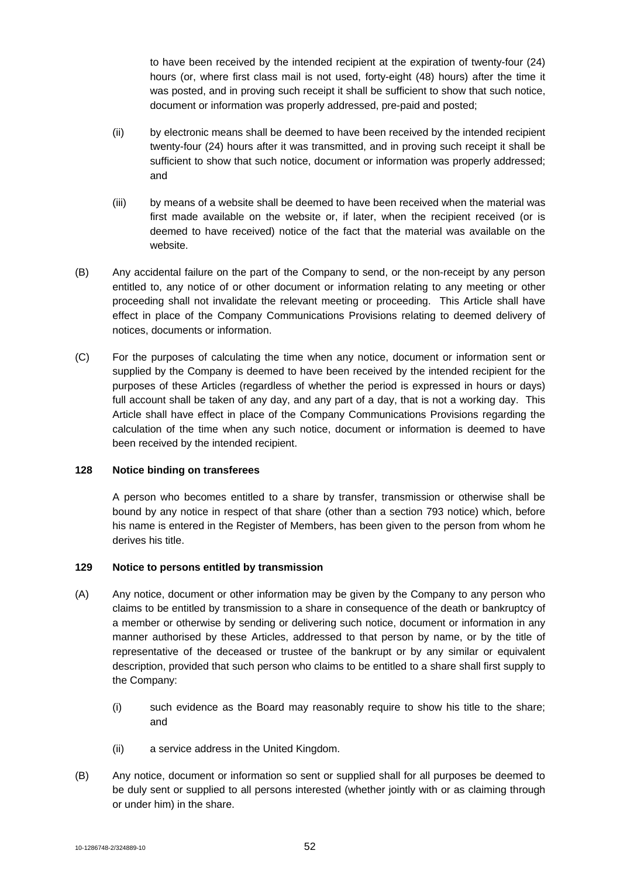to have been received by the intended recipient at the expiration of twenty-four (24) hours (or, where first class mail is not used, forty-eight (48) hours) after the time it was posted, and in proving such receipt it shall be sufficient to show that such notice, document or information was properly addressed, pre-paid and posted;

- (ii) by electronic means shall be deemed to have been received by the intended recipient twenty-four (24) hours after it was transmitted, and in proving such receipt it shall be sufficient to show that such notice, document or information was properly addressed; and
- (iii) by means of a website shall be deemed to have been received when the material was first made available on the website or, if later, when the recipient received (or is deemed to have received) notice of the fact that the material was available on the website.
- (B) Any accidental failure on the part of the Company to send, or the non-receipt by any person entitled to, any notice of or other document or information relating to any meeting or other proceeding shall not invalidate the relevant meeting or proceeding. This Article shall have effect in place of the Company Communications Provisions relating to deemed delivery of notices, documents or information.
- (C) For the purposes of calculating the time when any notice, document or information sent or supplied by the Company is deemed to have been received by the intended recipient for the purposes of these Articles (regardless of whether the period is expressed in hours or days) full account shall be taken of any day, and any part of a day, that is not a working day. This Article shall have effect in place of the Company Communications Provisions regarding the calculation of the time when any such notice, document or information is deemed to have been received by the intended recipient.

# **128 Notice binding on transferees**

A person who becomes entitled to a share by transfer, transmission or otherwise shall be bound by any notice in respect of that share (other than a section 793 notice) which, before his name is entered in the Register of Members, has been given to the person from whom he derives his title.

#### **129 Notice to persons entitled by transmission**

- (A) Any notice, document or other information may be given by the Company to any person who claims to be entitled by transmission to a share in consequence of the death or bankruptcy of a member or otherwise by sending or delivering such notice, document or information in any manner authorised by these Articles, addressed to that person by name, or by the title of representative of the deceased or trustee of the bankrupt or by any similar or equivalent description, provided that such person who claims to be entitled to a share shall first supply to the Company:
	- (i) such evidence as the Board may reasonably require to show his title to the share; and
	- (ii) a service address in the United Kingdom.
- (B) Any notice, document or information so sent or supplied shall for all purposes be deemed to be duly sent or supplied to all persons interested (whether jointly with or as claiming through or under him) in the share.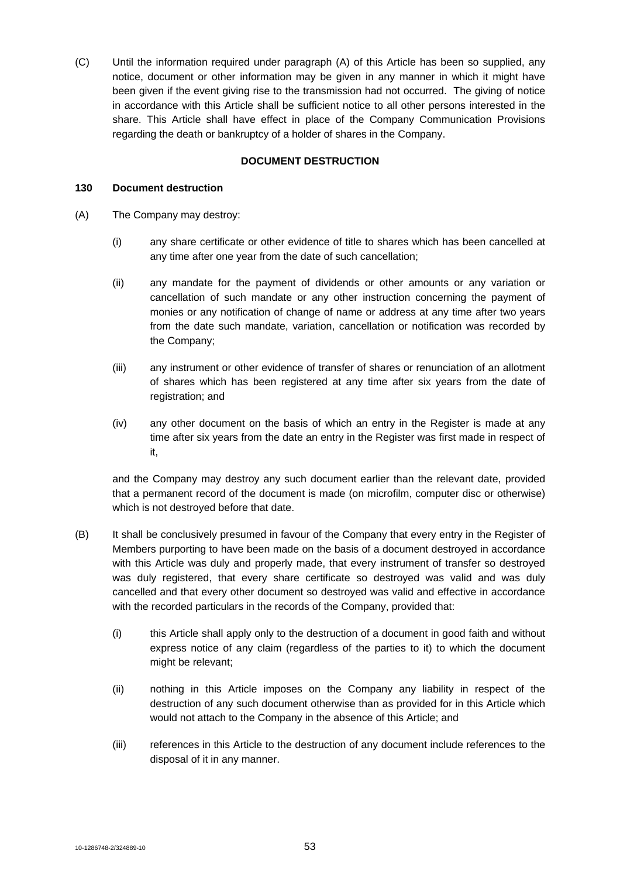(C) Until the information required under paragraph (A) of this Article has been so supplied, any notice, document or other information may be given in any manner in which it might have been given if the event giving rise to the transmission had not occurred. The giving of notice in accordance with this Article shall be sufficient notice to all other persons interested in the share. This Article shall have effect in place of the Company Communication Provisions regarding the death or bankruptcy of a holder of shares in the Company.

# **DOCUMENT DESTRUCTION**

### **130 Document destruction**

- (A) The Company may destroy:
	- (i) any share certificate or other evidence of title to shares which has been cancelled at any time after one year from the date of such cancellation;
	- (ii) any mandate for the payment of dividends or other amounts or any variation or cancellation of such mandate or any other instruction concerning the payment of monies or any notification of change of name or address at any time after two years from the date such mandate, variation, cancellation or notification was recorded by the Company;
	- (iii) any instrument or other evidence of transfer of shares or renunciation of an allotment of shares which has been registered at any time after six years from the date of registration; and
	- (iv) any other document on the basis of which an entry in the Register is made at any time after six years from the date an entry in the Register was first made in respect of it,

and the Company may destroy any such document earlier than the relevant date, provided that a permanent record of the document is made (on microfilm, computer disc or otherwise) which is not destroyed before that date.

- (B) It shall be conclusively presumed in favour of the Company that every entry in the Register of Members purporting to have been made on the basis of a document destroyed in accordance with this Article was duly and properly made, that every instrument of transfer so destroyed was duly registered, that every share certificate so destroyed was valid and was duly cancelled and that every other document so destroyed was valid and effective in accordance with the recorded particulars in the records of the Company, provided that:
	- (i) this Article shall apply only to the destruction of a document in good faith and without express notice of any claim (regardless of the parties to it) to which the document might be relevant;
	- (ii) nothing in this Article imposes on the Company any liability in respect of the destruction of any such document otherwise than as provided for in this Article which would not attach to the Company in the absence of this Article; and
	- (iii) references in this Article to the destruction of any document include references to the disposal of it in any manner.